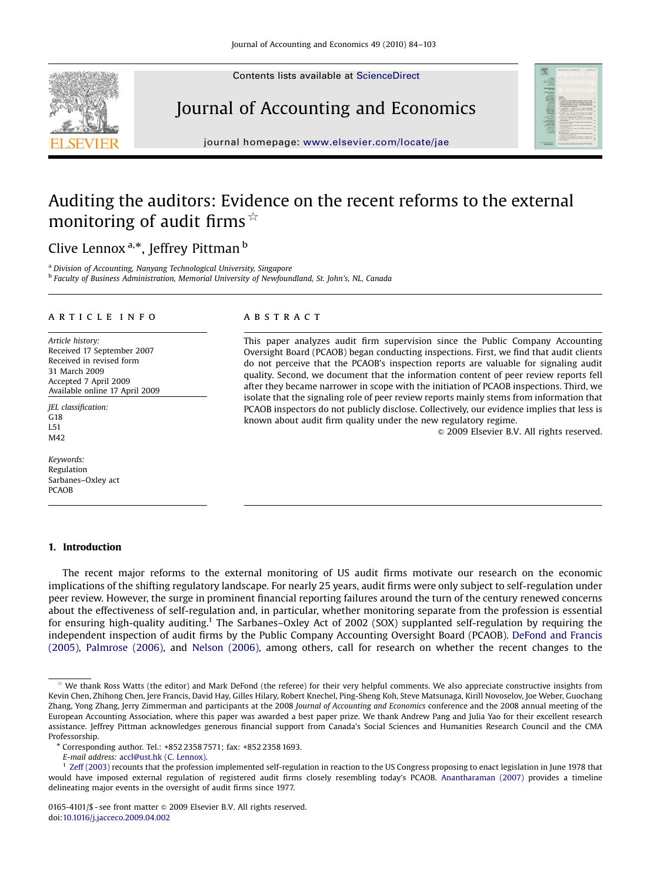Contents lists available at [ScienceDirect](www.sciencedirect.com/science/journal/jae)

# Journal of Accounting and Economics



journal homepage: <www.elsevier.com/locate/jae>

# Auditing the auditors: Evidence on the recent reforms to the external monitoring of audit firms  $\frac{x}{x}$

# Clive Lennox <sup>a,\*</sup>, Jeffrey Pittman <sup>b</sup>

<sup>a</sup> Division of Accounting, Nanyang Technological University, Singapore <sup>b</sup> Faculty of Business Administration, Memorial University of Newfoundland, St. John's, NL, Canada

## article info

Article history: Received 17 September 2007 Received in revised form 31 March 2009 Accepted 7 April 2009 Available online 17 April 2009

JEL classification: G18 L51 M42

Keywords: Regulation Sarbanes–Oxley act PCAOB

## **ABSTRACT**

This paper analyzes audit firm supervision since the Public Company Accounting Oversight Board (PCAOB) began conducting inspections. First, we find that audit clients do not perceive that the PCAOB's inspection reports are valuable for signaling audit quality. Second, we document that the information content of peer review reports fell after they became narrower in scope with the initiation of PCAOB inspections. Third, we isolate that the signaling role of peer review reports mainly stems from information that PCAOB inspectors do not publicly disclose. Collectively, our evidence implies that less is known about audit firm quality under the new regulatory regime.

 $\odot$  2009 Elsevier B.V. All rights reserved.

# 1. Introduction

The recent major reforms to the external monitoring of US audit firms motivate our research on the economic implications of the shifting regulatory landscape. For nearly 25 years, audit firms were only subject to self-regulation under peer review. However, the surge in prominent financial reporting failures around the turn of the century renewed concerns about the effectiveness of self-regulation and, in particular, whether monitoring separate from the profession is essential for ensuring high-quality auditing.<sup>1</sup> The Sarbanes–Oxley Act of 2002 (SOX) supplanted self-regulation by requiring the independent inspection of audit firms by the Public Company Accounting Oversight Board (PCAOB). [DeFond and Francis](#page-19-0) [\(2005\)](#page-19-0), [Palmrose \(2006\)](#page-19-0), and [Nelson \(2006\),](#page-19-0) among others, call for research on whether the recent changes to the

E-mail address: [accl@ust.hk \(C. Lennox\).](mailto:accl@ust.hk)

We thank Ross Watts (the editor) and Mark DeFond (the referee) for their very helpful comments. We also appreciate constructive insights from Kevin Chen, Zhihong Chen, Jere Francis, David Hay, Gilles Hilary, Robert Knechel, Ping-Sheng Koh, Steve Matsunaga, Kirill Novoselov, Joe Weber, Guochang Zhang, Yong Zhang, Jerry Zimmerman and participants at the 2008 Journal of Accounting and Economics conference and the 2008 annual meeting of the European Accounting Association, where this paper was awarded a best paper prize. We thank Andrew Pang and Julia Yao for their excellent research assistance. Jeffrey Pittman acknowledges generous financial support from Canada's Social Sciences and Humanities Research Council and the CMA Professorship.

Corresponding author. Tel.: +852 2358 7571; fax: +852 2358 1693.

<sup>&</sup>lt;sup>1</sup> [Zeff \(2003\)](#page-19-0) recounts that the profession implemented self-regulation in reaction to the US Congress proposing to enact legislation in June 1978 that would have imposed external regulation of registered audit firms closely resembling today's PCAOB. [Anantharaman \(2007\)](#page-19-0) provides a timeline delineating major events in the oversight of audit firms since 1977.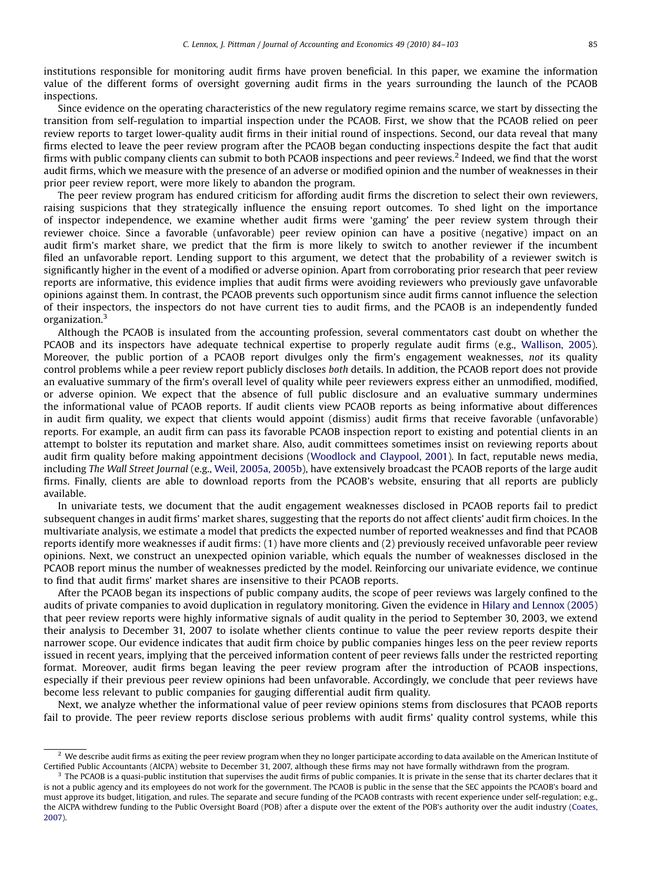institutions responsible for monitoring audit firms have proven beneficial. In this paper, we examine the information value of the different forms of oversight governing audit firms in the years surrounding the launch of the PCAOB inspections.

Since evidence on the operating characteristics of the new regulatory regime remains scarce, we start by dissecting the transition from self-regulation to impartial inspection under the PCAOB. First, we show that the PCAOB relied on peer review reports to target lower-quality audit firms in their initial round of inspections. Second, our data reveal that many firms elected to leave the peer review program after the PCAOB began conducting inspections despite the fact that audit firms with public company clients can submit to both PCAOB inspections and peer reviews.<sup>2</sup> Indeed, we find that the worst audit firms, which we measure with the presence of an adverse or modified opinion and the number of weaknesses in their prior peer review report, were more likely to abandon the program.

The peer review program has endured criticism for affording audit firms the discretion to select their own reviewers, raising suspicions that they strategically influence the ensuing report outcomes. To shed light on the importance of inspector independence, we examine whether audit firms were 'gaming' the peer review system through their reviewer choice. Since a favorable (unfavorable) peer review opinion can have a positive (negative) impact on an audit firm's market share, we predict that the firm is more likely to switch to another reviewer if the incumbent filed an unfavorable report. Lending support to this argument, we detect that the probability of a reviewer switch is significantly higher in the event of a modified or adverse opinion. Apart from corroborating prior research that peer review reports are informative, this evidence implies that audit firms were avoiding reviewers who previously gave unfavorable opinions against them. In contrast, the PCAOB prevents such opportunism since audit firms cannot influence the selection of their inspectors, the inspectors do not have current ties to audit firms, and the PCAOB is an independently funded organization.3

Although the PCAOB is insulated from the accounting profession, several commentators cast doubt on whether the PCAOB and its inspectors have adequate technical expertise to properly regulate audit firms (e.g., [Wallison, 2005](#page-19-0)). Moreover, the public portion of a PCAOB report divulges only the firm's engagement weaknesses, not its quality control problems while a peer review report publicly discloses both details. In addition, the PCAOB report does not provide an evaluative summary of the firm's overall level of quality while peer reviewers express either an unmodified, modified, or adverse opinion. We expect that the absence of full public disclosure and an evaluative summary undermines the informational value of PCAOB reports. If audit clients view PCAOB reports as being informative about differences in audit firm quality, we expect that clients would appoint (dismiss) audit firms that receive favorable (unfavorable) reports. For example, an audit firm can pass its favorable PCAOB inspection report to existing and potential clients in an attempt to bolster its reputation and market share. Also, audit committees sometimes insist on reviewing reports about audit firm quality before making appointment decisions ([Woodlock and Claypool, 2001](#page-19-0)). In fact, reputable news media, including The Wall Street Journal (e.g., [Weil, 2005a, 2005b](#page-19-0)), have extensively broadcast the PCAOB reports of the large audit firms. Finally, clients are able to download reports from the PCAOB's website, ensuring that all reports are publicly available.

In univariate tests, we document that the audit engagement weaknesses disclosed in PCAOB reports fail to predict subsequent changes in audit firms' market shares, suggesting that the reports do not affect clients' audit firm choices. In the multivariate analysis, we estimate a model that predicts the expected number of reported weaknesses and find that PCAOB reports identify more weaknesses if audit firms: (1) have more clients and (2) previously received unfavorable peer review opinions. Next, we construct an unexpected opinion variable, which equals the number of weaknesses disclosed in the PCAOB report minus the number of weaknesses predicted by the model. Reinforcing our univariate evidence, we continue to find that audit firms' market shares are insensitive to their PCAOB reports.

After the PCAOB began its inspections of public company audits, the scope of peer reviews was largely confined to the audits of private companies to avoid duplication in regulatory monitoring. Given the evidence in [Hilary and Lennox \(2005\)](#page-19-0) that peer review reports were highly informative signals of audit quality in the period to September 30, 2003, we extend their analysis to December 31, 2007 to isolate whether clients continue to value the peer review reports despite their narrower scope. Our evidence indicates that audit firm choice by public companies hinges less on the peer review reports issued in recent years, implying that the perceived information content of peer reviews falls under the restricted reporting format. Moreover, audit firms began leaving the peer review program after the introduction of PCAOB inspections, especially if their previous peer review opinions had been unfavorable. Accordingly, we conclude that peer reviews have become less relevant to public companies for gauging differential audit firm quality.

Next, we analyze whether the informational value of peer review opinions stems from disclosures that PCAOB reports fail to provide. The peer review reports disclose serious problems with audit firms' quality control systems, while this

 $<sup>2</sup>$  We describe audit firms as exiting the peer review program when they no longer participate according to data available on the American Institute of</sup> Certified Public Accountants (AICPA) website to December 31, 2007, although these firms may not have formally withdrawn from the program.

The PCAOB is a quasi-public institution that supervises the audit firms of public companies. It is private in the sense that its charter declares that it is not a public agency and its employees do not work for the government. The PCAOB is public in the sense that the SEC appoints the PCAOB's board and must approve its budget, litigation, and rules. The separate and secure funding of the PCAOB contrasts with recent experience under self-regulation; e.g., the AICPA withdrew funding to the Public Oversight Board (POB) after a dispute over the extent of the POB's authority over the audit industry ([Coates,](#page-19-0) [2007](#page-19-0)).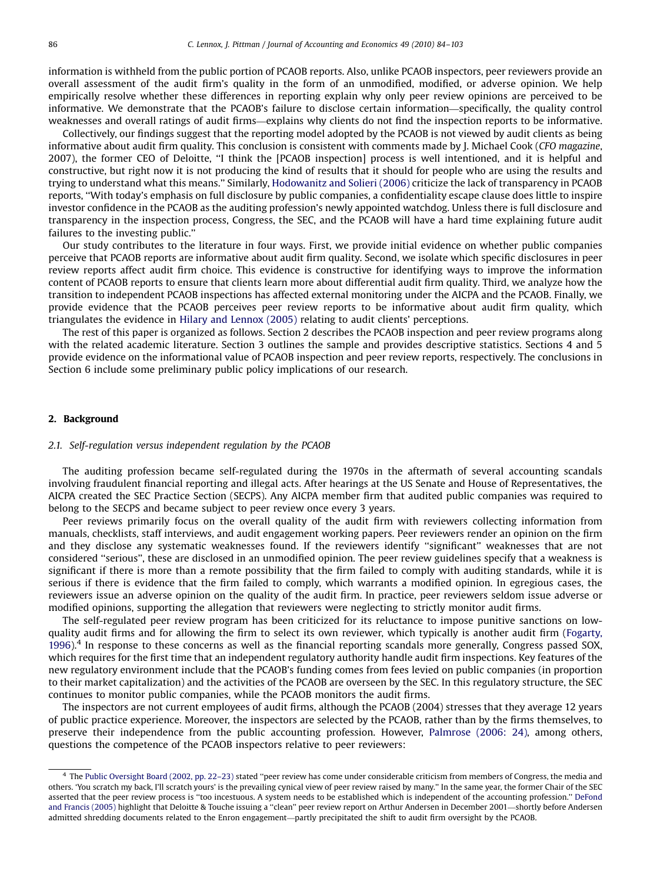information is withheld from the public portion of PCAOB reports. Also, unlike PCAOB inspectors, peer reviewers provide an overall assessment of the audit firm's quality in the form of an unmodified, modified, or adverse opinion. We help empirically resolve whether these differences in reporting explain why only peer review opinions are perceived to be informative. We demonstrate that the PCAOB's failure to disclose certain information—specifically, the quality control weaknesses and overall ratings of audit firms—explains why clients do not find the inspection reports to be informative.

Collectively, our findings suggest that the reporting model adopted by the PCAOB is not viewed by audit clients as being informative about audit firm quality. This conclusion is consistent with comments made by J. Michael Cook (CFO magazine, 2007), the former CEO of Deloitte, ''I think the [PCAOB inspection] process is well intentioned, and it is helpful and constructive, but right now it is not producing the kind of results that it should for people who are using the results and trying to understand what this means.'' Similarly, [Hodowanitz and Solieri \(2006\)](#page-19-0) criticize the lack of transparency in PCAOB reports, ''With today's emphasis on full disclosure by public companies, a confidentiality escape clause does little to inspire investor confidence in the PCAOB as the auditing profession's newly appointed watchdog. Unless there is full disclosure and transparency in the inspection process, Congress, the SEC, and the PCAOB will have a hard time explaining future audit failures to the investing public.''

Our study contributes to the literature in four ways. First, we provide initial evidence on whether public companies perceive that PCAOB reports are informative about audit firm quality. Second, we isolate which specific disclosures in peer review reports affect audit firm choice. This evidence is constructive for identifying ways to improve the information content of PCAOB reports to ensure that clients learn more about differential audit firm quality. Third, we analyze how the transition to independent PCAOB inspections has affected external monitoring under the AICPA and the PCAOB. Finally, we provide evidence that the PCAOB perceives peer review reports to be informative about audit firm quality, which triangulates the evidence in [Hilary and Lennox \(2005\)](#page-19-0) relating to audit clients' perceptions.

The rest of this paper is organized as follows. Section 2 describes the PCAOB inspection and peer review programs along with the related academic literature. Section 3 outlines the sample and provides descriptive statistics. Sections 4 and 5 provide evidence on the informational value of PCAOB inspection and peer review reports, respectively. The conclusions in Section 6 include some preliminary public policy implications of our research.

## 2. Background

## 2.1. Self-regulation versus independent regulation by the PCAOB

The auditing profession became self-regulated during the 1970s in the aftermath of several accounting scandals involving fraudulent financial reporting and illegal acts. After hearings at the US Senate and House of Representatives, the AICPA created the SEC Practice Section (SECPS). Any AICPA member firm that audited public companies was required to belong to the SECPS and became subject to peer review once every 3 years.

Peer reviews primarily focus on the overall quality of the audit firm with reviewers collecting information from manuals, checklists, staff interviews, and audit engagement working papers. Peer reviewers render an opinion on the firm and they disclose any systematic weaknesses found. If the reviewers identify "significant" weaknesses that are not considered ''serious'', these are disclosed in an unmodified opinion. The peer review guidelines specify that a weakness is significant if there is more than a remote possibility that the firm failed to comply with auditing standards, while it is serious if there is evidence that the firm failed to comply, which warrants a modified opinion. In egregious cases, the reviewers issue an adverse opinion on the quality of the audit firm. In practice, peer reviewers seldom issue adverse or modified opinions, supporting the allegation that reviewers were neglecting to strictly monitor audit firms.

The self-regulated peer review program has been criticized for its reluctance to impose punitive sanctions on lowquality audit firms and for allowing the firm to select its own reviewer, which typically is another audit firm ([Fogarty,](#page-19-0)  $1996$ ).<sup>4</sup> In response to these concerns as well as the financial reporting scandals more generally, Congress passed SOX, which requires for the first time that an independent regulatory authority handle audit firm inspections. Key features of the new regulatory environment include that the PCAOB's funding comes from fees levied on public companies (in proportion to their market capitalization) and the activities of the PCAOB are overseen by the SEC. In this regulatory structure, the SEC continues to monitor public companies, while the PCAOB monitors the audit firms.

The inspectors are not current employees of audit firms, although the PCAOB (2004) stresses that they average 12 years of public practice experience. Moreover, the inspectors are selected by the PCAOB, rather than by the firms themselves, to preserve their independence from the public accounting profession. However, [Palmrose \(2006: 24\),](#page-19-0) among others, questions the competence of the PCAOB inspectors relative to peer reviewers:

 $4$  The [Public Oversight Board \(2002, pp. 22–23\)](#page-19-0) stated "peer review has come under considerable criticism from members of Congress, the media and others. 'You scratch my back, I'll scratch yours' is the prevailing cynical view of peer review raised by many.'' In the same year, the former Chair of the SEC asserted that the peer review process is ''too incestuous. A system needs to be established which is independent of the accounting profession.'' [DeFond](#page-19-0) [and Francis \(2005\)](#page-19-0) highlight that Deloitte & Touche issuing a ''clean'' peer review report on Arthur Andersen in December 2001—shortly before Andersen admitted shredding documents related to the Enron engagement—partly precipitated the shift to audit firm oversight by the PCAOB.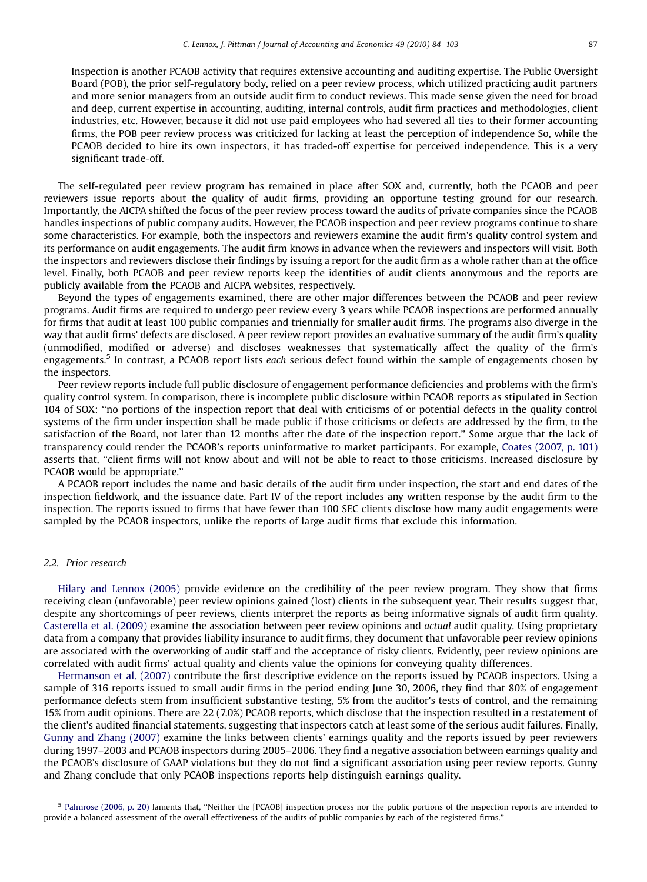Inspection is another PCAOB activity that requires extensive accounting and auditing expertise. The Public Oversight Board (POB), the prior self-regulatory body, relied on a peer review process, which utilized practicing audit partners and more senior managers from an outside audit firm to conduct reviews. This made sense given the need for broad and deep, current expertise in accounting, auditing, internal controls, audit firm practices and methodologies, client industries, etc. However, because it did not use paid employees who had severed all ties to their former accounting firms, the POB peer review process was criticized for lacking at least the perception of independence So, while the PCAOB decided to hire its own inspectors, it has traded-off expertise for perceived independence. This is a very significant trade-off.

The self-regulated peer review program has remained in place after SOX and, currently, both the PCAOB and peer reviewers issue reports about the quality of audit firms, providing an opportune testing ground for our research. Importantly, the AICPA shifted the focus of the peer review process toward the audits of private companies since the PCAOB handles inspections of public company audits. However, the PCAOB inspection and peer review programs continue to share some characteristics. For example, both the inspectors and reviewers examine the audit firm's quality control system and its performance on audit engagements. The audit firm knows in advance when the reviewers and inspectors will visit. Both the inspectors and reviewers disclose their findings by issuing a report for the audit firm as a whole rather than at the office level. Finally, both PCAOB and peer review reports keep the identities of audit clients anonymous and the reports are publicly available from the PCAOB and AICPA websites, respectively.

Beyond the types of engagements examined, there are other major differences between the PCAOB and peer review programs. Audit firms are required to undergo peer review every 3 years while PCAOB inspections are performed annually for firms that audit at least 100 public companies and triennially for smaller audit firms. The programs also diverge in the way that audit firms' defects are disclosed. A peer review report provides an evaluative summary of the audit firm's quality (unmodified, modified or adverse) and discloses weaknesses that systematically affect the quality of the firm's engagements.<sup>5</sup> In contrast, a PCAOB report lists each serious defect found within the sample of engagements chosen by the inspectors.

Peer review reports include full public disclosure of engagement performance deficiencies and problems with the firm's quality control system. In comparison, there is incomplete public disclosure within PCAOB reports as stipulated in Section 104 of SOX: ''no portions of the inspection report that deal with criticisms of or potential defects in the quality control systems of the firm under inspection shall be made public if those criticisms or defects are addressed by the firm, to the satisfaction of the Board, not later than 12 months after the date of the inspection report.'' Some argue that the lack of transparency could render the PCAOB's reports uninformative to market participants. For example, [Coates \(2007, p. 101\)](#page-19-0) asserts that, ''client firms will not know about and will not be able to react to those criticisms. Increased disclosure by PCAOB would be appropriate.''

A PCAOB report includes the name and basic details of the audit firm under inspection, the start and end dates of the inspection fieldwork, and the issuance date. Part IV of the report includes any written response by the audit firm to the inspection. The reports issued to firms that have fewer than 100 SEC clients disclose how many audit engagements were sampled by the PCAOB inspectors, unlike the reports of large audit firms that exclude this information.

## 2.2. Prior research

[Hilary and Lennox \(2005\)](#page-19-0) provide evidence on the credibility of the peer review program. They show that firms receiving clean (unfavorable) peer review opinions gained (lost) clients in the subsequent year. Their results suggest that, despite any shortcomings of peer reviews, clients interpret the reports as being informative signals of audit firm quality. [Casterella et al. \(2009\)](#page-19-0) examine the association between peer review opinions and actual audit quality. Using proprietary data from a company that provides liability insurance to audit firms, they document that unfavorable peer review opinions are associated with the overworking of audit staff and the acceptance of risky clients. Evidently, peer review opinions are correlated with audit firms' actual quality and clients value the opinions for conveying quality differences.

[Hermanson et al. \(2007\)](#page-19-0) contribute the first descriptive evidence on the reports issued by PCAOB inspectors. Using a sample of 316 reports issued to small audit firms in the period ending June 30, 2006, they find that 80% of engagement performance defects stem from insufficient substantive testing, 5% from the auditor's tests of control, and the remaining 15% from audit opinions. There are 22 (7.0%) PCAOB reports, which disclose that the inspection resulted in a restatement of the client's audited financial statements, suggesting that inspectors catch at least some of the serious audit failures. Finally, [Gunny and Zhang \(2007\)](#page-19-0) examine the links between clients' earnings quality and the reports issued by peer reviewers during 1997–2003 and PCAOB inspectors during 2005–2006. They find a negative association between earnings quality and the PCAOB's disclosure of GAAP violations but they do not find a significant association using peer review reports. Gunny and Zhang conclude that only PCAOB inspections reports help distinguish earnings quality.

<sup>5</sup> [Palmrose \(2006, p. 20\)](#page-19-0) laments that, ''Neither the [PCAOB] inspection process nor the public portions of the inspection reports are intended to provide a balanced assessment of the overall effectiveness of the audits of public companies by each of the registered firms.''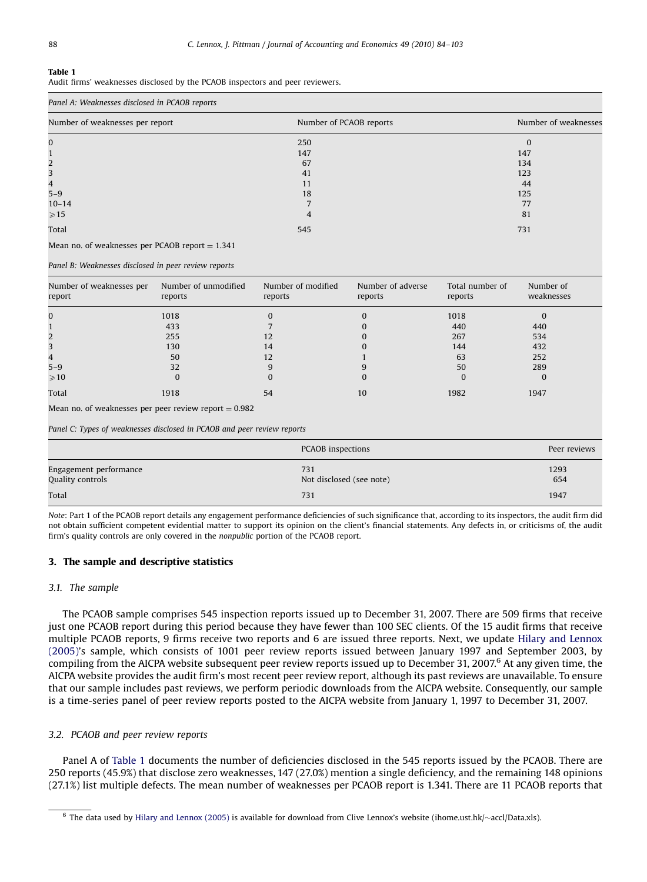Audit firms' weaknesses disclosed by the PCAOB inspectors and peer reviewers.

| Panel A: Weaknesses disclosed in PCAOB reports       |                                 |                               |                              |                            |                         |  |
|------------------------------------------------------|---------------------------------|-------------------------------|------------------------------|----------------------------|-------------------------|--|
| Number of weaknesses per report                      |                                 |                               | Number of PCAOB reports      |                            |                         |  |
| 0                                                    |                                 | 250                           |                              |                            | $\bf{0}$                |  |
|                                                      |                                 | 147                           |                              |                            | 147                     |  |
| 2                                                    |                                 | 67                            |                              |                            | 134                     |  |
| 3                                                    |                                 | 41                            |                              |                            | 123                     |  |
| 4                                                    |                                 | 11                            |                              |                            | 44                      |  |
| $5 - 9$                                              |                                 | 18                            |                              |                            |                         |  |
| $10 - 14$                                            |                                 |                               |                              |                            |                         |  |
| $\geqslant$ 15                                       |                                 | 4                             |                              |                            | 81                      |  |
| Total                                                |                                 | 545                           |                              |                            | 731                     |  |
| Mean no. of weaknesses per PCAOB report $= 1.341$    |                                 |                               |                              |                            |                         |  |
| Panel B: Weaknesses disclosed in peer review reports |                                 |                               |                              |                            |                         |  |
| Number of weaknesses per<br>report                   | Number of unmodified<br>reports | Number of modified<br>reports | Number of adverse<br>reports | Total number of<br>reports | Number of<br>weaknesses |  |

| report                  | reports                                                                 | reports  | reports                  | reports | <i>v</i> ecanic 33C3 |
|-------------------------|-------------------------------------------------------------------------|----------|--------------------------|---------|----------------------|
| $\bf{0}$                | 1018                                                                    | $\Omega$ | $\Omega$                 | 1018    | $\Omega$             |
|                         | 433                                                                     |          |                          | 440     | 440                  |
| 2                       | 255                                                                     | 12       |                          | 267     | 534                  |
| 3                       | 130                                                                     | 14       |                          | 144     | 432                  |
| 4                       | 50                                                                      | 12       |                          | 63      | 252                  |
| $5 - 9$                 | 32                                                                      | 9        |                          | 50      | 289                  |
| $\geqslant$ 10          | $\Omega$                                                                | 0        | $\Omega$                 |         | $\Omega$             |
| Total                   | 1918                                                                    | 54       | 10                       | 1982    | 1947                 |
|                         | Mean no. of weaknesses per peer review report $= 0.982$                 |          |                          |         |                      |
|                         | Panel C: Types of weaknesses disclosed in PCAOB and peer review reports |          |                          |         |                      |
|                         |                                                                         |          | PCAOB inspections        |         | Peer reviews         |
| Engagement performance  |                                                                         | 731      |                          |         | 1293                 |
| <b>Ouality controls</b> |                                                                         |          | Not disclosed (see note) |         | 654                  |

Note: Part 1 of the PCAOB report details any engagement performance deficiencies of such significance that, according to its inspectors, the audit firm did not obtain sufficient competent evidential matter to support its opinion on the client's financial statements. Any defects in, or criticisms of, the audit firm's quality controls are only covered in the nonpublic portion of the PCAOB report.

Total  $731$ 

## 3. The sample and descriptive statistics

## 3.1. The sample

The PCAOB sample comprises 545 inspection reports issued up to December 31, 2007. There are 509 firms that receive just one PCAOB report during this period because they have fewer than 100 SEC clients. Of the 15 audit firms that receive multiple PCAOB reports, 9 firms receive two reports and 6 are issued three reports. Next, we update [Hilary and Lennox](#page-19-0) [\(2005\)](#page-19-0)'s sample, which consists of 1001 peer review reports issued between January 1997 and September 2003, by compiling from the AICPA website subsequent peer review reports issued up to December 31, 2007.<sup>6</sup> At any given time, the AICPA website provides the audit firm's most recent peer review report, although its past reviews are unavailable. To ensure that our sample includes past reviews, we perform periodic downloads from the AICPA website. Consequently, our sample is a time-series panel of peer review reports posted to the AICPA website from January 1, 1997 to December 31, 2007.

## 3.2. PCAOB and peer review reports

Panel A of Table 1 documents the number of deficiencies disclosed in the 545 reports issued by the PCAOB. There are 250 reports (45.9%) that disclose zero weaknesses, 147 (27.0%) mention a single deficiency, and the remaining 148 opinions (27.1%) list multiple defects. The mean number of weaknesses per PCAOB report is 1.341. There are 11 PCAOB reports that

 $^6$  The data used by [Hilary and Lennox \(2005\)](#page-19-0) is available for download from Clive Lennox's website (ihome.ust.hk/ $\sim$ accl/Data.xls).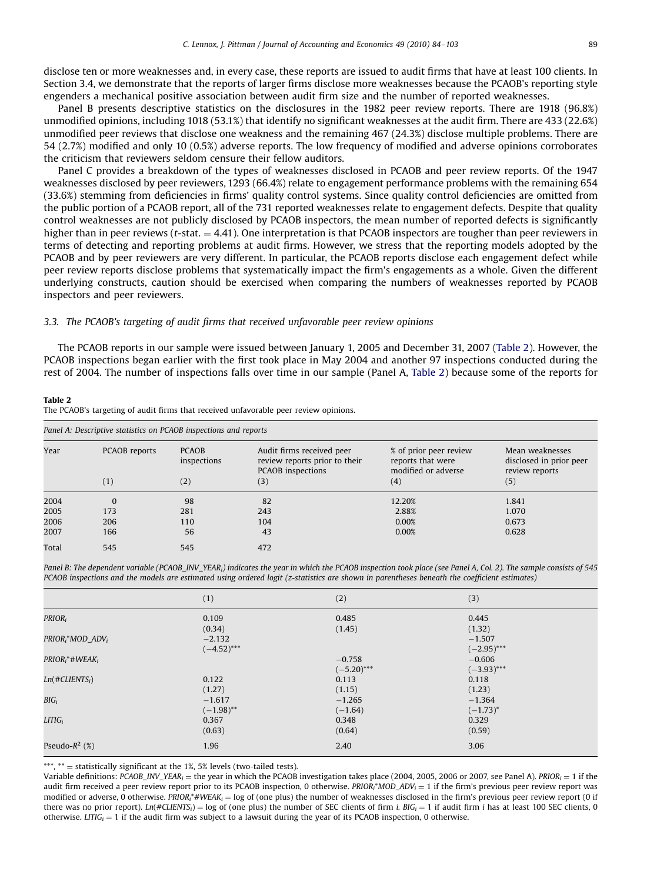<span id="page-5-0"></span>disclose ten or more weaknesses and, in every case, these reports are issued to audit firms that have at least 100 clients. In Section 3.4, we demonstrate that the reports of larger firms disclose more weaknesses because the PCAOB's reporting style engenders a mechanical positive association between audit firm size and the number of reported weaknesses.

Panel B presents descriptive statistics on the disclosures in the 1982 peer review reports. There are 1918 (96.8%) unmodified opinions, including 1018 (53.1%) that identify no significant weaknesses at the audit firm. There are 433 (22.6%) unmodified peer reviews that disclose one weakness and the remaining 467 (24.3%) disclose multiple problems. There are 54 (2.7%) modified and only 10 (0.5%) adverse reports. The low frequency of modified and adverse opinions corroborates the criticism that reviewers seldom censure their fellow auditors.

Panel C provides a breakdown of the types of weaknesses disclosed in PCAOB and peer review reports. Of the 1947 weaknesses disclosed by peer reviewers, 1293 (66.4%) relate to engagement performance problems with the remaining 654 (33.6%) stemming from deficiencies in firms' quality control systems. Since quality control deficiencies are omitted from the public portion of a PCAOB report, all of the 731 reported weaknesses relate to engagement defects. Despite that quality control weaknesses are not publicly disclosed by PCAOB inspectors, the mean number of reported defects is significantly higher than in peer reviews ( $t$ -stat.  $= 4.41$ ). One interpretation is that PCAOB inspectors are tougher than peer reviewers in terms of detecting and reporting problems at audit firms. However, we stress that the reporting models adopted by the PCAOB and by peer reviewers are very different. In particular, the PCAOB reports disclose each engagement defect while peer review reports disclose problems that systematically impact the firm's engagements as a whole. Given the different underlying constructs, caution should be exercised when comparing the numbers of weaknesses reported by PCAOB inspectors and peer reviewers.

## 3.3. The PCAOB's targeting of audit firms that received unfavorable peer review opinions

The PCAOB reports in our sample were issued between January 1, 2005 and December 31, 2007 (Table 2). However, the PCAOB inspections began earlier with the first took place in May 2004 and another 97 inspections conducted during the rest of 2004. The number of inspections falls over time in our sample (Panel A, Table 2) because some of the reports for

#### Table 2

The PCAOB's targeting of audit firms that received unfavorable peer review opinions.

|       | Panel A: Descriptive statistics on PCAOB inspections and reports |                             |                                                                                 |                                                                    |                                                              |  |  |  |  |
|-------|------------------------------------------------------------------|-----------------------------|---------------------------------------------------------------------------------|--------------------------------------------------------------------|--------------------------------------------------------------|--|--|--|--|
| Year  | PCAOB reports                                                    | <b>PCAOB</b><br>inspections | Audit firms received peer<br>review reports prior to their<br>PCAOB inspections | % of prior peer review<br>reports that were<br>modified or adverse | Mean weaknesses<br>disclosed in prior peer<br>review reports |  |  |  |  |
|       | (1)                                                              | (2)                         | (3)                                                                             | (4)                                                                | (5)                                                          |  |  |  |  |
| 2004  | $\Omega$                                                         | 98                          | 82                                                                              | 12.20%                                                             | 1.841                                                        |  |  |  |  |
| 2005  | 173                                                              | 281                         | 243                                                                             | 2.88%                                                              | 1.070                                                        |  |  |  |  |
| 2006  | 206                                                              | 110                         | 104                                                                             | 0.00%                                                              | 0.673                                                        |  |  |  |  |
| 2007  | 166                                                              | 56                          | 43                                                                              | 0.00%                                                              | 0.628                                                        |  |  |  |  |
| Total | 545                                                              | 545                         | 472                                                                             |                                                                    |                                                              |  |  |  |  |

Panel B: The dependent variable (PCAOB\_INV\_YEAR<sub>i</sub>) indicates the year in which the PCAOB inspection took place (see Panel A, Col. 2). The sample consists of 545 PCAOB inspections and the models are estimated using ordered logit (z-statistics are shown in parentheses beneath the coefficient estimates)

|                                          | (1)           | (2)           | (3)           |
|------------------------------------------|---------------|---------------|---------------|
| $PRIOR_i$                                | 0.109         | 0.485         | 0.445         |
|                                          | (0.34)        | (1.45)        | (1.32)        |
| PRIOR <sub>i</sub> *MOD ADV <sub>i</sub> | $-2.132$      |               | $-1.507$      |
|                                          | $(-4.52)$ *** |               | $(-2.95)$ *** |
| $PRIOR_i^*$ #WEAK <sub>i</sub>           |               | $-0.758$      | $-0.606$      |
|                                          |               | $(-5.20)$ *** | $(-3.93)$ *** |
| $Ln(\#CLIENTS_i)$                        | 0.122         | 0.113         | 0.118         |
|                                          | (1.27)        | (1.15)        | (1.23)        |
| $BIG_i$                                  | $-1.617$      | $-1.265$      | $-1.364$      |
|                                          | $(-1.98)$ **  | $(-1.64)$     | $(-1.73)^*$   |
| $LITIG_i$                                | 0.367         | 0.348         | 0.329         |
|                                          | (0.63)        | (0.64)        | (0.59)        |
| Pseudo- $R^2$ (%)                        | 1.96          | 2.40          | 3.06          |

\*\*\*, \*\* = statistically significant at the 1%, 5% levels (two-tailed tests).

Variable definitions: PCAOB\_INV\_YEAR<sub>i</sub> = the year in which the PCAOB investigation takes place (2004, 2005, 2006 or 2007, see Panel A). PRIOR<sub>i</sub> = 1 if the audit firm received a peer review report prior to its PCAOB inspection, 0 otherwise. PRIOR<sub>i</sub>\*MOD\_ADV<sub>i</sub> = 1 if the firm's previous peer review report was modified or adverse, 0 otherwise. PRIOR<sub>i</sub>\*#WEAK<sub>i</sub> = log of (one plus) the number of weaknesses disclosed in the firm's previous peer review report (0 if there was no prior report). Ln(#CLIENTS<sub>i</sub>) = log of (one plus) the number of SEC clients of firm i. BIG<sub>i</sub> = 1 if audit firm i has at least 100 SEC clients, 0 otherwise. LITIG<sub>i</sub> = 1 if the audit firm was subject to a lawsuit during the year of its PCAOB inspection, 0 otherwise.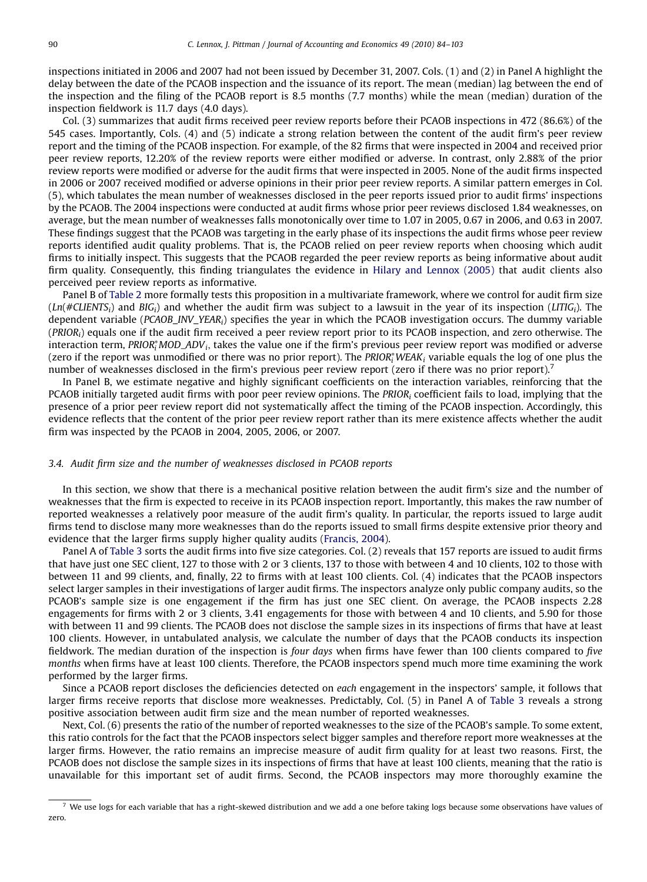inspections initiated in 2006 and 2007 had not been issued by December 31, 2007. Cols. (1) and (2) in Panel A highlight the delay between the date of the PCAOB inspection and the issuance of its report. The mean (median) lag between the end of the inspection and the filing of the PCAOB report is 8.5 months (7.7 months) while the mean (median) duration of the inspection fieldwork is 11.7 days (4.0 days).

Col. (3) summarizes that audit firms received peer review reports before their PCAOB inspections in 472 (86.6%) of the 545 cases. Importantly, Cols. (4) and (5) indicate a strong relation between the content of the audit firm's peer review report and the timing of the PCAOB inspection. For example, of the 82 firms that were inspected in 2004 and received prior peer review reports, 12.20% of the review reports were either modified or adverse. In contrast, only 2.88% of the prior review reports were modified or adverse for the audit firms that were inspected in 2005. None of the audit firms inspected in 2006 or 2007 received modified or adverse opinions in their prior peer review reports. A similar pattern emerges in Col. (5), which tabulates the mean number of weaknesses disclosed in the peer reports issued prior to audit firms' inspections by the PCAOB. The 2004 inspections were conducted at audit firms whose prior peer reviews disclosed 1.84 weaknesses, on average, but the mean number of weaknesses falls monotonically over time to 1.07 in 2005, 0.67 in 2006, and 0.63 in 2007. These findings suggest that the PCAOB was targeting in the early phase of its inspections the audit firms whose peer review reports identified audit quality problems. That is, the PCAOB relied on peer review reports when choosing which audit firms to initially inspect. This suggests that the PCAOB regarded the peer review reports as being informative about audit firm quality. Consequently, this finding triangulates the evidence in [Hilary and Lennox \(2005\)](#page-19-0) that audit clients also perceived peer review reports as informative.

Panel B of [Table 2](#page-5-0) more formally tests this proposition in a multivariate framework, where we control for audit firm size  $(Ln(\text{\#CLIENTS}_i)$  and BIG<sub>i</sub>) and whether the audit firm was subject to a lawsuit in the year of its inspection (LITIG<sub>i</sub>). The dependent variable (PCAOB\_INV\_YEAR<sub>i</sub>) specifies the year in which the PCAOB investigation occurs. The dummy variable  $(PRIOR<sub>i</sub>)$  equals one if the audit firm received a peer review report prior to its PCAOB inspection, and zero otherwise. The interaction term, PRIOR $^*_i$ MOD\_ADV<sub>i</sub>, takes the value one if the firm's previous peer review report was modified or adverse (zero if the report was unmodified or there was no prior report). The  $PRIOR_i^*WEAK_i$  variable equals the log of one plus the number of weaknesses disclosed in the firm's previous peer review report (zero if there was no prior report).<sup>7</sup>

In Panel B, we estimate negative and highly significant coefficients on the interaction variables, reinforcing that the PCAOB initially targeted audit firms with poor peer review opinions. The PRIOR<sub>i</sub> coefficient fails to load, implying that the presence of a prior peer review report did not systematically affect the timing of the PCAOB inspection. Accordingly, this evidence reflects that the content of the prior peer review report rather than its mere existence affects whether the audit firm was inspected by the PCAOB in 2004, 2005, 2006, or 2007.

## 3.4. Audit firm size and the number of weaknesses disclosed in PCAOB reports

In this section, we show that there is a mechanical positive relation between the audit firm's size and the number of weaknesses that the firm is expected to receive in its PCAOB inspection report. Importantly, this makes the raw number of reported weaknesses a relatively poor measure of the audit firm's quality. In particular, the reports issued to large audit firms tend to disclose many more weaknesses than do the reports issued to small firms despite extensive prior theory and evidence that the larger firms supply higher quality audits ([Francis, 2004\)](#page-19-0).

Panel A of [Table 3](#page-7-0) sorts the audit firms into five size categories. Col. (2) reveals that 157 reports are issued to audit firms that have just one SEC client, 127 to those with 2 or 3 clients, 137 to those with between 4 and 10 clients, 102 to those with between 11 and 99 clients, and, finally, 22 to firms with at least 100 clients. Col. (4) indicates that the PCAOB inspectors select larger samples in their investigations of larger audit firms. The inspectors analyze only public company audits, so the PCAOB's sample size is one engagement if the firm has just one SEC client. On average, the PCAOB inspects 2.28 engagements for firms with 2 or 3 clients, 3.41 engagements for those with between 4 and 10 clients, and 5.90 for those with between 11 and 99 clients. The PCAOB does not disclose the sample sizes in its inspections of firms that have at least 100 clients. However, in untabulated analysis, we calculate the number of days that the PCAOB conducts its inspection fieldwork. The median duration of the inspection is four days when firms have fewer than 100 clients compared to five months when firms have at least 100 clients. Therefore, the PCAOB inspectors spend much more time examining the work performed by the larger firms.

Since a PCAOB report discloses the deficiencies detected on each engagement in the inspectors' sample, it follows that larger firms receive reports that disclose more weaknesses. Predictably, Col. (5) in Panel A of [Table 3](#page-7-0) reveals a strong positive association between audit firm size and the mean number of reported weaknesses.

Next, Col. (6) presents the ratio of the number of reported weaknesses to the size of the PCAOB's sample. To some extent, this ratio controls for the fact that the PCAOB inspectors select bigger samples and therefore report more weaknesses at the larger firms. However, the ratio remains an imprecise measure of audit firm quality for at least two reasons. First, the PCAOB does not disclose the sample sizes in its inspections of firms that have at least 100 clients, meaning that the ratio is unavailable for this important set of audit firms. Second, the PCAOB inspectors may more thoroughly examine the

 $^7$  We use logs for each variable that has a right-skewed distribution and we add a one before taking logs because some observations have values of zero.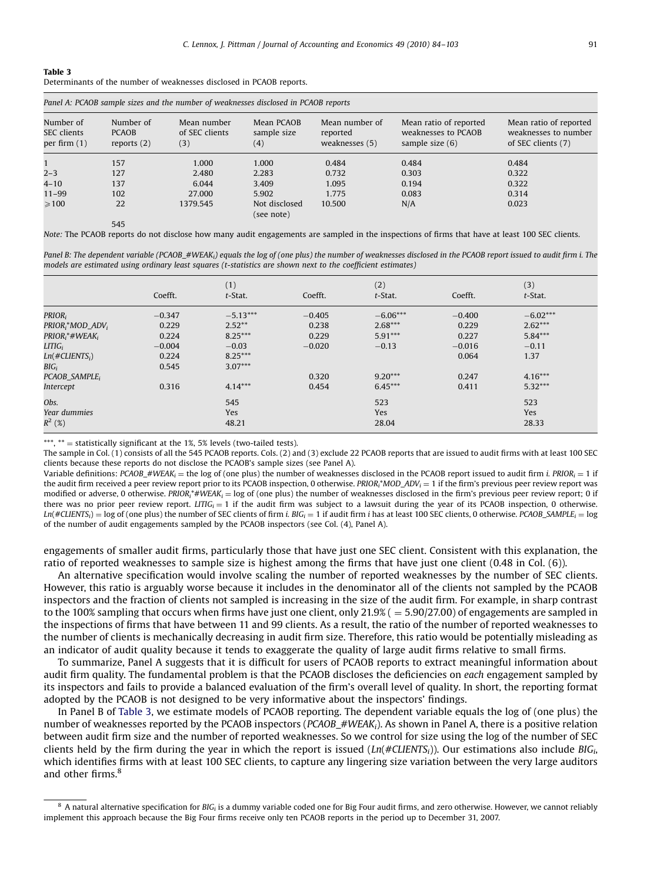<span id="page-7-0"></span>Determinants of the number of weaknesses disclosed in PCAOB reports.

|                                          | Panel A: PCAOB sample sizes and the number of weaknesses disclosed in PCAOB reports |                                      |                                  |                                              |                                                                    |                                                                      |  |  |  |
|------------------------------------------|-------------------------------------------------------------------------------------|--------------------------------------|----------------------------------|----------------------------------------------|--------------------------------------------------------------------|----------------------------------------------------------------------|--|--|--|
| Number of<br>SEC clients<br>per firm (1) | Number of<br><b>PCAOB</b><br>reports $(2)$                                          | Mean number<br>of SEC clients<br>(3) | Mean PCAOB<br>sample size<br>(4) | Mean number of<br>reported<br>weaknesses (5) | Mean ratio of reported<br>weaknesses to PCAOB<br>sample size $(6)$ | Mean ratio of reported<br>weaknesses to number<br>of SEC clients (7) |  |  |  |
|                                          | 157                                                                                 | 1.000                                | 1.000                            | 0.484                                        | 0.484                                                              | 0.484                                                                |  |  |  |
| $2 - 3$                                  | 127                                                                                 | 2.480                                | 2.283                            | 0.732                                        | 0.303                                                              | 0.322                                                                |  |  |  |
| $4 - 10$                                 | 137                                                                                 | 6.044                                | 3.409                            | 1.095                                        | 0.194                                                              | 0.322                                                                |  |  |  |
| $11 - 99$                                | 102                                                                                 | 27,000                               | 5.902                            | 1.775                                        | 0.083                                                              | 0.314                                                                |  |  |  |
| $\geqslant$ 100                          | 22                                                                                  | 1379.545                             | Not disclosed<br>(see note)      | 10.500                                       | N/A                                                                | 0.023                                                                |  |  |  |

545

Note: The PCAOB reports do not disclose how many audit engagements are sampled in the inspections of firms that have at least 100 SEC clients.

Panel B: The dependent variable (PCAOB\_#WEAK<sub>i</sub>) equals the log of (one plus) the number of weaknesses disclosed in the PCAOB report issued to audit firm i. The models are estimated using ordinary least squares (t-statistics are shown next to the coefficient estimates)

|                                          | Coefft.  | (1)<br>$t$ -Stat. | Coefft.  | (2)<br>$t$ -Stat. | Coefft.  | (3)<br>$t$ -Stat. |  |
|------------------------------------------|----------|-------------------|----------|-------------------|----------|-------------------|--|
| $PRIOR_i$                                | $-0.347$ | $-5.13***$        | $-0.405$ | $-6.06***$        | $-0.400$ | $-6.02***$        |  |
| PRIOR <sub>i</sub> *MOD ADV <sub>i</sub> | 0.229    | $2.52***$         | 0.238    | $2.68***$         | 0.229    | $2.62***$         |  |
| $PRIOR_i^*$ #WEAK <sub>i</sub>           | 0.224    | $8.25***$         | 0.229    | $5.91***$         | 0.227    | $5.84***$         |  |
| $LITIG_i$                                | $-0.004$ | $-0.03$           | $-0.020$ | $-0.13$           | $-0.016$ | $-0.11$           |  |
| $Ln(\#CLIENTS_i)$                        | 0.224    | $8.25***$         |          |                   | 0.064    | 1.37              |  |
| $BIG_i$                                  | 0.545    | $3.07***$         |          |                   |          |                   |  |
| <b>PCAOB SAMPLE</b>                      |          |                   | 0.320    | $9.20***$         | 0.247    | $4.16***$         |  |
| Intercept                                | 0.316    | $4.14***$         | 0.454    | $6.45***$         | 0.411    | $5.32***$         |  |
| Obs.                                     |          | 545               |          | 523               |          | 523               |  |
| Year dummies                             |          | Yes               |          | <b>Yes</b>        |          | Yes               |  |
| $R^2$ (%)                                |          | 48.21             |          | 28.04             |          | 28.33             |  |

\*\*\*, \*\* = statistically significant at the  $1\%$ ,  $5\%$  levels (two-tailed tests).

The sample in Col. (1) consists of all the 545 PCAOB reports. Cols. (2) and (3) exclude 22 PCAOB reports that are issued to audit firms with at least 100 SEC clients because these reports do not disclose the PCAOB's sample sizes (see Panel A).

Variable definitions: PCAOB #WEAK<sub>i</sub> = the log of (one plus) the number of weaknesses disclosed in the PCAOB report issued to audit firm i. PRIOR<sub>i</sub> = 1 if the audit firm received a peer review report prior to its PCAOB inspection, 0 otherwise.  $PRIOR_i^*MOD_ADV_i = 1$  if the firm's previous peer review report was modified or adverse, 0 otherwise. PRIOR<sub>i</sub>\*#WEAK<sub>i</sub> = log of (one plus) the number of weaknesses disclosed in the firm's previous peer review report; 0 if there was no prior peer review report. LITIG<sub>i</sub> = 1 if the audit firm was subject to a lawsuit during the year of its PCAOB inspection, 0 otherwise.  $Ln(\#CLIENTS_i) = log of (one plus)$  the number of SEC clients of firm i. BIG<sub>i</sub> = 1 if audit firm i has at least 100 SEC clients, 0 otherwise. PCAOB\_SAMPLE<sub>i</sub> = log of the number of audit engagements sampled by the PCAOB inspectors (see Col. (4), Panel A).

engagements of smaller audit firms, particularly those that have just one SEC client. Consistent with this explanation, the ratio of reported weaknesses to sample size is highest among the firms that have just one client (0.48 in Col. (6)).

An alternative specification would involve scaling the number of reported weaknesses by the number of SEC clients. However, this ratio is arguably worse because it includes in the denominator all of the clients not sampled by the PCAOB inspectors and the fraction of clients not sampled is increasing in the size of the audit firm. For example, in sharp contrast to the 100% sampling that occurs when firms have just one client, only  $21.9%$  ( = 5.90/27.00) of engagements are sampled in the inspections of firms that have between 11 and 99 clients. As a result, the ratio of the number of reported weaknesses to the number of clients is mechanically decreasing in audit firm size. Therefore, this ratio would be potentially misleading as an indicator of audit quality because it tends to exaggerate the quality of large audit firms relative to small firms.

To summarize, Panel A suggests that it is difficult for users of PCAOB reports to extract meaningful information about audit firm quality. The fundamental problem is that the PCAOB discloses the deficiencies on each engagement sampled by its inspectors and fails to provide a balanced evaluation of the firm's overall level of quality. In short, the reporting format adopted by the PCAOB is not designed to be very informative about the inspectors' findings.

In Panel B of Table 3, we estimate models of PCAOB reporting. The dependent variable equals the log of (one plus) the number of weaknesses reported by the PCAOB inspectors (PCAOB\_#WEAK<sub>i</sub>). As shown in Panel A, there is a positive relation between audit firm size and the number of reported weaknesses. So we control for size using the log of the number of SEC clients held by the firm during the year in which the report is issued  $(Ln(\#CLIENTS_i))$ . Our estimations also include  $BIG_i$ , which identifies firms with at least 100 SEC clients, to capture any lingering size variation between the very large auditors and other firms.<sup>8</sup>

 $8$  A natural alternative specification for BIG<sub>i</sub> is a dummy variable coded one for Big Four audit firms, and zero otherwise. However, we cannot reliably implement this approach because the Big Four firms receive only ten PCAOB reports in the period up to December 31, 2007.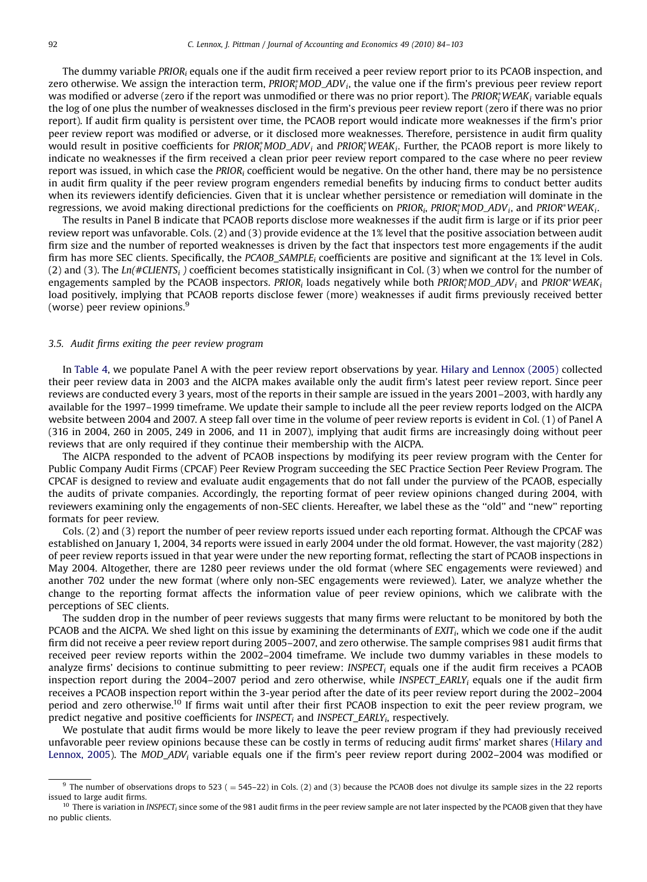The dummy variable PRIORi equals one if the audit firm received a peer review report prior to its PCAOB inspection, and zero otherwise. We assign the interaction term,  $PRIOR_i^*MOD\_ADV_i$ , the value one if the firm's previous peer review report was modified or adverse (zero if the report was unmodified or there was no prior report). The PRIOR $^*_i$ WEAK $_i$  variable equals the log of one plus the number of weaknesses disclosed in the firm's previous peer review report (zero if there was no prior report). If audit firm quality is persistent over time, the PCAOB report would indicate more weaknesses if the firm's prior peer review report was modified or adverse, or it disclosed more weaknesses. Therefore, persistence in audit firm quality would result in positive coefficients for PRIOR<sub>i</sub>MOD\_ADV<sub>i</sub> and PRIOR<sub>i</sub>WEAK<sub>i</sub>. Further, the PCAOB report is more likely to indicate no weaknesses if the firm received a clean prior peer review report compared to the case where no peer review report was issued, in which case the PRIOR<sub>i</sub> coefficient would be negative. On the other hand, there may be no persistence in audit firm quality if the peer review program engenders remedial benefits by inducing firms to conduct better audits when its reviewers identify deficiencies. Given that it is unclear whether persistence or remediation will dominate in the regressions, we avoid making directional predictions for the coefficients on PRIOR<sub>i</sub>, PRIOR $^*_i$ MOD\_ADV<sub>i</sub>, and PRIOR $^*$ WEAK<sub>i</sub>.

The results in Panel B indicate that PCAOB reports disclose more weaknesses if the audit firm is large or if its prior peer review report was unfavorable. Cols. (2) and (3) provide evidence at the 1% level that the positive association between audit firm size and the number of reported weaknesses is driven by the fact that inspectors test more engagements if the audit firm has more SEC clients. Specifically, the PCAOB\_SAMPLE<sub>i</sub> coefficients are positive and significant at the 1% level in Cols. (2) and (3). The Ln(#CLIENTS<sub>i</sub>) coefficient becomes statistically insignificant in Col. (3) when we control for the number of engagements sampled by the PCAOB inspectors. PRIOR<sub>i</sub> loads negatively while both PRIOR<sub>i</sub>MOD\_ADV<sub>i</sub> and PRIOR\*WEAK<sub>i</sub> load positively, implying that PCAOB reports disclose fewer (more) weaknesses if audit firms previously received better (worse) peer review opinions.<sup>9</sup>

## 3.5. Audit firms exiting the peer review program

In [Table 4,](#page-9-0) we populate Panel A with the peer review report observations by year. [Hilary and Lennox \(2005\)](#page-19-0) collected their peer review data in 2003 and the AICPA makes available only the audit firm's latest peer review report. Since peer reviews are conducted every 3 years, most of the reports in their sample are issued in the years 2001–2003, with hardly any available for the 1997–1999 timeframe. We update their sample to include all the peer review reports lodged on the AICPA website between 2004 and 2007. A steep fall over time in the volume of peer review reports is evident in Col. (1) of Panel A (316 in 2004, 260 in 2005, 249 in 2006, and 11 in 2007), implying that audit firms are increasingly doing without peer reviews that are only required if they continue their membership with the AICPA.

The AICPA responded to the advent of PCAOB inspections by modifying its peer review program with the Center for Public Company Audit Firms (CPCAF) Peer Review Program succeeding the SEC Practice Section Peer Review Program. The CPCAF is designed to review and evaluate audit engagements that do not fall under the purview of the PCAOB, especially the audits of private companies. Accordingly, the reporting format of peer review opinions changed during 2004, with reviewers examining only the engagements of non-SEC clients. Hereafter, we label these as the ''old'' and ''new'' reporting formats for peer review.

Cols. (2) and (3) report the number of peer review reports issued under each reporting format. Although the CPCAF was established on January 1, 2004, 34 reports were issued in early 2004 under the old format. However, the vast majority (282) of peer review reports issued in that year were under the new reporting format, reflecting the start of PCAOB inspections in May 2004. Altogether, there are 1280 peer reviews under the old format (where SEC engagements were reviewed) and another 702 under the new format (where only non-SEC engagements were reviewed). Later, we analyze whether the change to the reporting format affects the information value of peer review opinions, which we calibrate with the perceptions of SEC clients.

The sudden drop in the number of peer reviews suggests that many firms were reluctant to be monitored by both the PCAOB and the AICPA. We shed light on this issue by examining the determinants of EXIT<sub>i</sub>, which we code one if the audit firm did not receive a peer review report during 2005–2007, and zero otherwise. The sample comprises 981 audit firms that received peer review reports within the 2002–2004 timeframe. We include two dummy variables in these models to analyze firms' decisions to continue submitting to peer review: INSPECT<sub>i</sub> equals one if the audit firm receives a PCAOB inspection report during the 2004–2007 period and zero otherwise, while INSPECT\_EARLY<sub>i</sub> equals one if the audit firm receives a PCAOB inspection report within the 3-year period after the date of its peer review report during the 2002–2004 period and zero otherwise.<sup>10</sup> If firms wait until after their first PCAOB inspection to exit the peer review program, we predict negative and positive coefficients for  $INSPECT$ <sub>i</sub> and  $INSPECT$ <sub>EARLY<sub>i</sub>, respectively.</sub>

We postulate that audit firms would be more likely to leave the peer review program if they had previously received unfavorable peer review opinions because these can be costly in terms of reducing audit firms' market shares [\(Hilary and](#page-19-0) [Lennox, 2005](#page-19-0)). The MOD\_ADVi variable equals one if the firm's peer review report during 2002–2004 was modified or

 $9$  The number of observations drops to 523 ( = 545–22) in Cols. (2) and (3) because the PCAOB does not divulge its sample sizes in the 22 reports issued to large audit firms.

<sup>&</sup>lt;sup>10</sup> There is variation in *INSPECT<sub>i</sub>* since some of the 981 audit firms in the peer review sample are not later inspected by the PCAOB given that they have no public clients.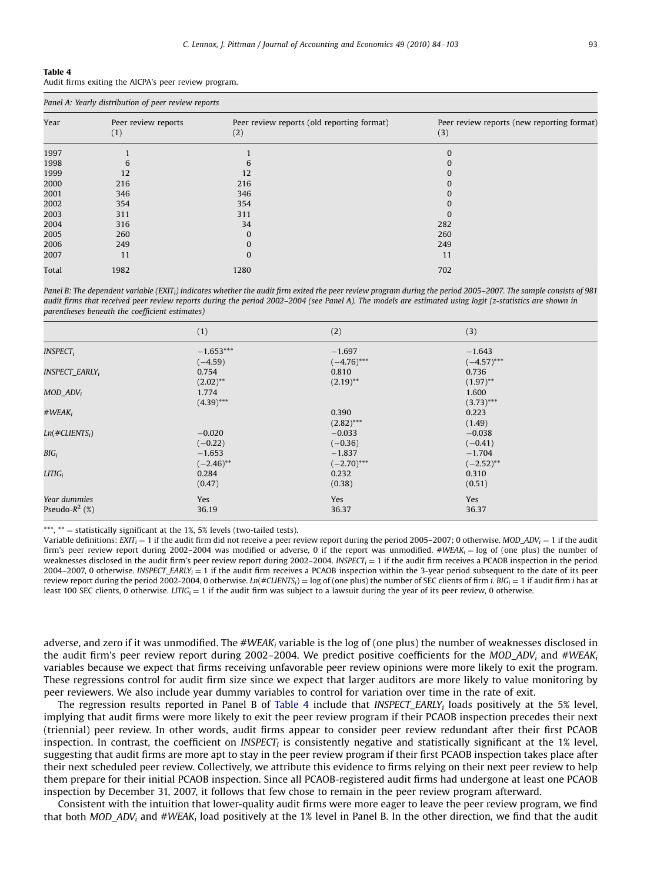<span id="page-9-0"></span>

|--|--|--|--|--|

Audit firms exiting the AICPA's peer review program.

|       | Panel A: Yearly distribution of peer review reports |                                                   |                                                   |  |  |  |  |  |  |
|-------|-----------------------------------------------------|---------------------------------------------------|---------------------------------------------------|--|--|--|--|--|--|
| Year  | Peer review reports<br>(1)                          | Peer review reports (old reporting format)<br>(2) | Peer review reports (new reporting format)<br>(3) |  |  |  |  |  |  |
| 1997  |                                                     |                                                   | $\Omega$                                          |  |  |  |  |  |  |
| 1998  | 6                                                   |                                                   |                                                   |  |  |  |  |  |  |
| 1999  | 12                                                  | 12                                                |                                                   |  |  |  |  |  |  |
| 2000  | 216                                                 | 216                                               |                                                   |  |  |  |  |  |  |
| 2001  | 346                                                 | 346                                               |                                                   |  |  |  |  |  |  |
| 2002  | 354                                                 | 354                                               |                                                   |  |  |  |  |  |  |
| 2003  | 311                                                 | 311                                               | $\Omega$                                          |  |  |  |  |  |  |
| 2004  | 316                                                 | 34                                                | 282                                               |  |  |  |  |  |  |
| 2005  | 260                                                 |                                                   | 260                                               |  |  |  |  |  |  |
| 2006  | 249                                                 |                                                   | 249                                               |  |  |  |  |  |  |
| 2007  | 11                                                  | $\Omega$                                          | 11                                                |  |  |  |  |  |  |
| Total | 1982                                                | 1280                                              | 702                                               |  |  |  |  |  |  |

Panel B: The dependent variable (EXIT<sub>i</sub>) indicates whether the audit firm exited the peer review program during the period 2005–2007. The sample consists of 981 audit firms that received peer review reports during the period 2002–2004 (see Panel A). The models are estimated using logit (z-statistics are shown in parentheses beneath the coefficient estimates)

|                                | (1)          | (2)           | (3)           |
|--------------------------------|--------------|---------------|---------------|
| <b>INSPECT</b> <sub>i</sub>    | $-1.653***$  | $-1.697$      | $-1.643$      |
|                                | $(-4.59)$    | $(-4.76)$ *** | $(-4.57)$ *** |
| INSPECT_EARLY;                 | 0.754        | 0.810         | 0.736         |
|                                | $(2.02)$ **  | $(2.19)$ **   | $(1.97)$ **   |
| $MOD_$ <i>ADV</i> <sub>i</sub> | 1.774        |               | 1.600         |
|                                | $(4.39)$ *** |               | $(3.73)$ ***  |
| $#WEAK_i$                      |              | 0.390         | 0.223         |
|                                |              | $(2.82)$ ***  | (1.49)        |
| $Ln(\#CLIENTS_i)$              | $-0.020$     | $-0.033$      | $-0.038$      |
|                                | $(-0.22)$    | $(-0.36)$     | $(-0.41)$     |
| $BIG_i$                        | $-1.653$     | $-1.837$      | $-1.704$      |
|                                | $(-2.46)$ ** | $(-2.70)$ *** | $(-2.52)$ **  |
| $LITIG_i$                      | 0.284        | 0.232         | 0.310         |
|                                | (0.47)       | (0.38)        | (0.51)        |
|                                |              |               |               |
| Year dummies                   | Yes          | Yes           | Yes           |
| Pseudo- $R^2$ (%)              | 36.19        | 36.37         | 36.37         |

 $***, **$  = statistically significant at the 1%, 5% levels (two-tailed tests).

Variable definitions: EXIT<sub>i</sub> = 1 if the audit firm did not receive a peer review report during the period 2005–2007; 0 otherwise. MOD ADV<sub>i</sub> = 1 if the audit firm's peer review report during 2002-2004 was modified or adverse, 0 if the report was unmodified. #WEAK $_i$  = log of (one plus) the number of weaknesses disclosed in the audit firm's peer review report during 2002-2004. INSPECT<sub>i</sub> = 1 if the audit firm receives a PCAOB inspection in the period 2004–2007, 0 otherwise. INSPECT\_EARLY<sub>i</sub> = 1 if the audit firm receives a PCAOB inspection within the 3-year period subsequent to the date of its peer review report during the period 2002-2004, 0 otherwise. Ln(#CLIENTS<sub>i</sub>) = log of (one plus) the number of SEC clients of firm i. BIG<sub>i</sub> = 1 if audit firm i has at least 100 SEC clients, 0 otherwise. LITIG<sub>i</sub> = 1 if the audit firm was subject to a lawsuit during the year of its peer review, 0 otherwise.

adverse, and zero if it was unmodified. The #WEAK, variable is the log of (one plus) the number of weaknesses disclosed in the audit firm's peer review report during 2002–2004. We predict positive coefficients for the MOD ADV<sub>i</sub> and #WEAK<sub>i</sub> variables because we expect that firms receiving unfavorable peer review opinions were more likely to exit the program. These regressions control for audit firm size since we expect that larger auditors are more likely to value monitoring by peer reviewers. We also include year dummy variables to control for variation over time in the rate of exit.

The regression results reported in Panel B of Table 4 include that INSPECT\_EARLY<sub>i</sub> loads positively at the 5% level, implying that audit firms were more likely to exit the peer review program if their PCAOB inspection precedes their next (triennial) peer review. In other words, audit firms appear to consider peer review redundant after their first PCAOB inspection. In contrast, the coefficient on *INSPECT<sub>i</sub>* is consistently negative and statistically significant at the 1% level, suggesting that audit firms are more apt to stay in the peer review program if their first PCAOB inspection takes place after their next scheduled peer review. Collectively, we attribute this evidence to firms relying on their next peer review to help them prepare for their initial PCAOB inspection. Since all PCAOB-registered audit firms had undergone at least one PCAOB inspection by December 31, 2007, it follows that few chose to remain in the peer review program afterward.

Consistent with the intuition that lower-quality audit firms were more eager to leave the peer review program, we find that both MOD\_ADV<sub>i</sub> and  $\#WEAK_i$  load positively at the 1% level in Panel B. In the other direction, we find that the audit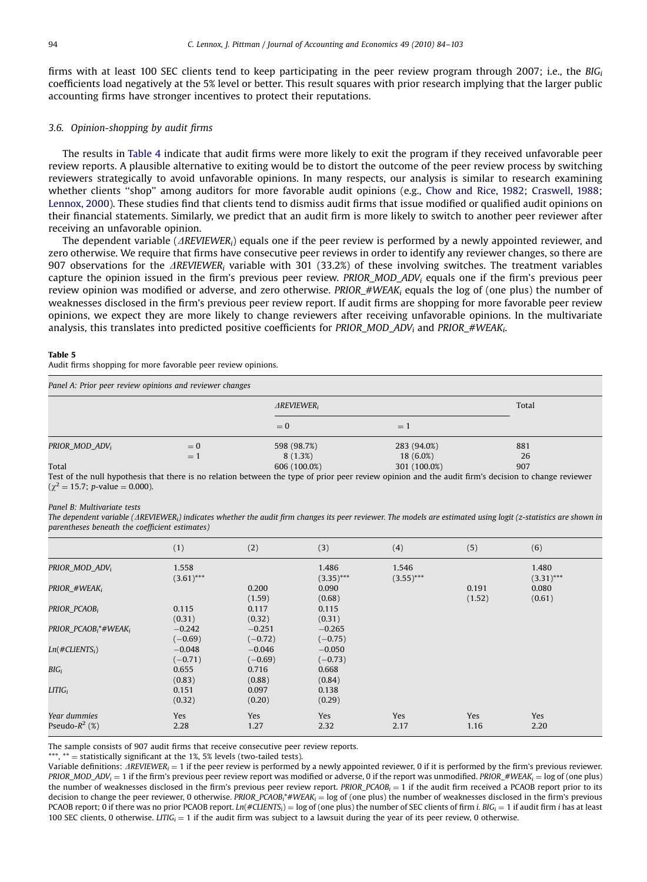<span id="page-10-0"></span>firms with at least 100 SEC clients tend to keep participating in the peer review program through 2007; i.e., the BIG<sub>i</sub> coefficients load negatively at the 5% level or better. This result squares with prior research implying that the larger public accounting firms have stronger incentives to protect their reputations.

# 3.6. Opinion-shopping by audit firms

The results in [Table 4](#page-9-0) indicate that audit firms were more likely to exit the program if they received unfavorable peer review reports. A plausible alternative to exiting would be to distort the outcome of the peer review process by switching reviewers strategically to avoid unfavorable opinions. In many respects, our analysis is similar to research examining whether clients "shop" among auditors for more favorable audit opinions (e.g., [Chow and Rice, 1982](#page-19-0); [Craswell, 1988](#page-19-0); [Lennox, 2000](#page-19-0)). These studies find that clients tend to dismiss audit firms that issue modified or qualified audit opinions on their financial statements. Similarly, we predict that an audit firm is more likely to switch to another peer reviewer after receiving an unfavorable opinion.

The dependent variable ( $\Delta REVIEWER_i)$  equals one if the peer review is performed by a newly appointed reviewer, and zero otherwise. We require that firms have consecutive peer reviews in order to identify any reviewer changes, so there are 907 observations for the  $\Delta REVIEWER_i$  variable with 301 (33.2%) of these involving switches. The treatment variables capture the opinion issued in the firm's previous peer review. PRIOR MOD ADV<sub>i</sub> equals one if the firm's previous peer review opinion was modified or adverse, and zero otherwise. PRIOR #WEAK; equals the log of (one plus) the number of weaknesses disclosed in the firm's previous peer review report. If audit firms are shopping for more favorable peer review opinions, we expect they are more likely to change reviewers after receiving unfavorable opinions. In the multivariate analysis, this translates into predicted positive coefficients for  $PRIOR\_MOD\_ADV_i$  and  $PRIOR\_\#WERK_i$ .

#### Table 5

Audit firms shopping for more favorable peer review opinions.

| Panel A: Prior peer review opinions and reviewer changes                                                                                                                                                                                      |       |                                   |                                                                                                                                                                                                                                                   |     |  |  |  |  |
|-----------------------------------------------------------------------------------------------------------------------------------------------------------------------------------------------------------------------------------------------|-------|-----------------------------------|---------------------------------------------------------------------------------------------------------------------------------------------------------------------------------------------------------------------------------------------------|-----|--|--|--|--|
|                                                                                                                                                                                                                                               |       | $\triangle$ REVIEWER <sub>i</sub> |                                                                                                                                                                                                                                                   |     |  |  |  |  |
|                                                                                                                                                                                                                                               |       | $= 0$                             | $=$ $\overline{ }$                                                                                                                                                                                                                                |     |  |  |  |  |
| PRIOR MOD ADV <sub>i</sub>                                                                                                                                                                                                                    | $= 0$ | 598 (98.7%)                       | 283 (94.0%)                                                                                                                                                                                                                                       | 881 |  |  |  |  |
|                                                                                                                                                                                                                                               | $=1$  | 8(1.3%)                           | $18(6.0\%)$                                                                                                                                                                                                                                       | 26  |  |  |  |  |
| Total<br>$\mathbf{m}$ and $\mathbf{m}$ are the second contract of the second contract of the second contract of the second contract of the second contract of the second contract of the second contract of the second contract of the second |       | 606 (100.0%)                      | 301 (100.0%)<br>$\mathbf{r}$ . The contract of the contract of the contract of the contract of the contract of the contract of the contract of the contract of the contract of the contract of the contract of the contract of the contract of th | 907 |  |  |  |  |

Test of the null hypothesis that there is no relation between the type of prior peer review opinion and the audit firm's decision to change reviewer  $(\chi^2 = 15.7; p$ -value = 0.000).

#### Panel B: Multivariate tests

The dependent variable (AREVIEWER<sub>i</sub>) indicates whether the audit firm changes its peer reviewer. The models are estimated using logit (z-statistics are shown in parentheses beneath the coefficient estimates)

|                            | (1)          | (2)       | (3)          | (4)          | (5)    | (6)          |
|----------------------------|--------------|-----------|--------------|--------------|--------|--------------|
| PRIOR MOD ADV <sub>i</sub> | 1.558        |           | 1.486        | 1.546        |        | 1.480        |
|                            | $(3.61)$ *** |           | $(3.35)$ *** | $(3.55)$ *** |        | $(3.31)$ *** |
| PRIOR #WEAK;               |              | 0.200     | 0.090        |              | 0.191  | 0.080        |
|                            |              | (1.59)    | (0.68)       |              | (1.52) | (0.61)       |
| <b>PRIOR PCAOB</b>         | 0.115        | 0.117     | 0.115        |              |        |              |
|                            | (0.31)       | (0.32)    | (0.31)       |              |        |              |
| PRIOR PCAOB;*#WEAK;        | $-0.242$     | $-0.251$  | $-0.265$     |              |        |              |
|                            | $(-0.69)$    | $(-0.72)$ | $(-0.75)$    |              |        |              |
| $Ln(\#CLIENTS_i)$          | $-0.048$     | $-0.046$  | $-0.050$     |              |        |              |
|                            | $(-0.71)$    | $(-0.69)$ | $(-0.73)$    |              |        |              |
| $BIG_i$                    | 0.655        | 0.716     | 0.668        |              |        |              |
|                            | (0.83)       | (0.88)    | (0.84)       |              |        |              |
| $LITIG_i$                  | 0.151        | 0.097     | 0.138        |              |        |              |
|                            | (0.32)       | (0.20)    | (0.29)       |              |        |              |
| Year dummies               | Yes          | Yes       | Yes          | Yes          | Yes    | Yes          |
| Pseudo- $R^2$ (%)          | 2.28         | 1.27      | 2.32         | 2.17         | 1.16   | 2.20         |

The sample consists of 907 audit firms that receive consecutive peer review reports.

\*\*\*, \*\* = statistically significant at the  $1\%$ ,  $5\%$  levels (two-tailed tests).

Variable definitions:  $\Delta REVIEWER_i = 1$  if the peer review is performed by a newly appointed reviewer, 0 if it is performed by the firm's previous reviewer. PRIOR\_MOD\_ADV<sub>i</sub> = 1 if the firm's previous peer review report was modified or adverse, 0 if the report was unmodified. PRIOR\_#WEAK<sub>i</sub> = log of (one plus) the number of weaknesses disclosed in the firm's previous peer review report. PRIOR\_PCAOB<sub>i</sub> = 1 if the audit firm received a PCAOB report prior to its decision to change the peer reviewer, 0 otherwise. PRIOR\_PCAOB<sub>i</sub>\*#WEAK<sub>i</sub> = log of (one plus) the number of weaknesses disclosed in the firm's previous PCAOB report; 0 if there was no prior PCAOB report. Ln(#CLIENTS<sub>i</sub>) = log of (one plus) the number of SEC clients of firm i. BIG<sub>i</sub> = 1 if audit firm i has at least 100 SEC clients, 0 otherwise. LITIG<sub>i</sub> = 1 if the audit firm was subject to a lawsuit during the year of its peer review, 0 otherwise.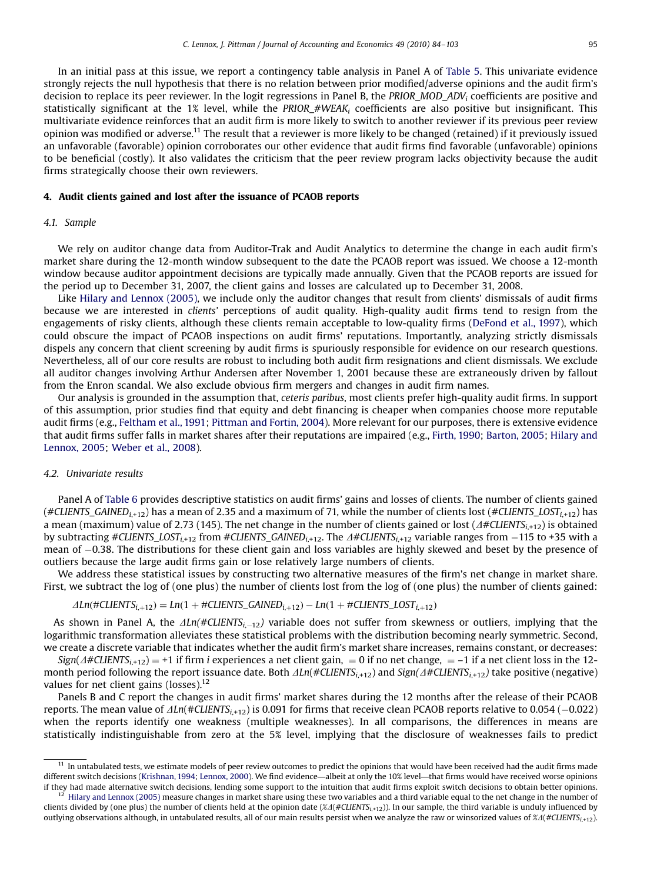In an initial pass at this issue, we report a contingency table analysis in Panel A of [Table 5.](#page-10-0) This univariate evidence strongly rejects the null hypothesis that there is no relation between prior modified/adverse opinions and the audit firm's decision to replace its peer reviewer. In the logit regressions in Panel B, the PRIOR MOD ADV<sub>i</sub> coefficients are positive and statistically significant at the 1% level, while the PRIOR\_#WEAK<sub>i</sub> coefficients are also positive but insignificant. This multivariate evidence reinforces that an audit firm is more likely to switch to another reviewer if its previous peer review opinion was modified or adverse.<sup>11</sup> The result that a reviewer is more likely to be changed (retained) if it previously issued an unfavorable (favorable) opinion corroborates our other evidence that audit firms find favorable (unfavorable) opinions to be beneficial (costly). It also validates the criticism that the peer review program lacks objectivity because the audit firms strategically choose their own reviewers.

## 4. Audit clients gained and lost after the issuance of PCAOB reports

## 4.1. Sample

We rely on auditor change data from Auditor-Trak and Audit Analytics to determine the change in each audit firm's market share during the 12-month window subsequent to the date the PCAOB report was issued. We choose a 12-month window because auditor appointment decisions are typically made annually. Given that the PCAOB reports are issued for the period up to December 31, 2007, the client gains and losses are calculated up to December 31, 2008.

Like [Hilary and Lennox \(2005\)](#page-19-0), we include only the auditor changes that result from clients' dismissals of audit firms because we are interested in clients' perceptions of audit quality. High-quality audit firms tend to resign from the engagements of risky clients, although these clients remain acceptable to low-quality firms ([DeFond et al., 1997\)](#page-19-0), which could obscure the impact of PCAOB inspections on audit firms' reputations. Importantly, analyzing strictly dismissals dispels any concern that client screening by audit firms is spuriously responsible for evidence on our research questions. Nevertheless, all of our core results are robust to including both audit firm resignations and client dismissals. We exclude all auditor changes involving Arthur Andersen after November 1, 2001 because these are extraneously driven by fallout from the Enron scandal. We also exclude obvious firm mergers and changes in audit firm names.

Our analysis is grounded in the assumption that, ceteris paribus, most clients prefer high-quality audit firms. In support of this assumption, prior studies find that equity and debt financing is cheaper when companies choose more reputable audit firms (e.g., [Feltham et al., 1991](#page-19-0); [Pittman and Fortin, 2004\)](#page-19-0). More relevant for our purposes, there is extensive evidence that audit firms suffer falls in market shares after their reputations are impaired (e.g., [Firth, 1990](#page-19-0); [Barton, 2005](#page-19-0); [Hilary and](#page-19-0) [Lennox, 2005](#page-19-0); [Weber et al., 2008\)](#page-19-0).

## 4.2. Univariate results

Panel A of [Table 6](#page-12-0) provides descriptive statistics on audit firms' gains and losses of clients. The number of clients gained (#CLIENTS\_GAINED<sub>i+12</sub>) has a mean of 2.35 and a maximum of 71, while the number of clients lost (#CLIENTS\_LOST<sub>i+12</sub>) has a mean (maximum) value of 2.73 (145). The net change in the number of clients gained or lost ( $\Delta\# CLIENTS_{i+12}$ ) is obtained by subtracting #CLIENTS\_LOST<sub>i+12</sub> from #CLIENTS\_GAINED<sub>i+12</sub>. The  $\Delta$ #CLIENTS<sub>i+12</sub> variable ranges from -115 to +35 with a mean of -0.38. The distributions for these client gain and loss variables are highly skewed and beset by the presence of outliers because the large audit firms gain or lose relatively large numbers of clients.

We address these statistical issues by constructing two alternative measures of the firm's net change in market share. First, we subtract the log of (one plus) the number of clients lost from the log of (one plus) the number of clients gained:

$$
\Delta Ln(\#CLIENTS_{i,+12}) = Ln(1 + #CLIENTS_GAINED_{i,+12}) - Ln(1 + #CLIENTS_LOST_{i,+12})
$$

As shown in Panel A, the  $\Delta Ln(\#CLIENTS_{i,-12})$  variable does not suffer from skewness or outliers, implying that the logarithmic transformation alleviates these statistical problems with the distribution becoming nearly symmetric. Second, we create a discrete variable that indicates whether the audit firm's market share increases, remains constant, or decreases:

 $Sign(\Delta\# CLIENTS_{i+12}) = +1$  if firm *i* experiences a net client gain, = 0 if no net change, = -1 if a net client loss in the 12month period following the report issuance date. Both  $\Delta Ln(\#CLIENTS_{i+12})$  and  $Sign(\Delta\#CLIENTS_{i+12})$  take positive (negative) values for net client gains (losses). $12$ 

Panels B and C report the changes in audit firms' market shares during the 12 months after the release of their PCAOB reports. The mean value of  $\Delta \text{Ln}(\#\text{CLIENTS}_{i+12})$  is 0.091 for firms that receive clean PCAOB reports relative to 0.054 (-0.022) when the reports identify one weakness (multiple weaknesses). In all comparisons, the differences in means are statistically indistinguishable from zero at the 5% level, implying that the disclosure of weaknesses fails to predict

<sup>&</sup>lt;sup>11</sup> In untabulated tests, we estimate models of peer review outcomes to predict the opinions that would have been received had the audit firms made different switch decisions [\(Krishnan, 1994](#page-19-0); [Lennox, 2000](#page-19-0)). We find evidence—albeit at only the 10% level—that firms would have received worse opinions if they had made alternative switch decisions, lending some support to the intuition that audit firms exploit switch decisions to obtain better opinions.

<sup>&</sup>lt;sup>12</sup> [Hilary and Lennox \(2005\)](#page-19-0) measure changes in market share using these two variables and a third variable equal to the net change in the number of clients divided by (one plus) the number of clients held at the opinion date  $(\mathscr{A}/\#CLIENTS_{i+12})$ ). In our sample, the third variable is unduly influenced by outlying observations although, in untabulated results, all of our main results persist when we analyze the raw or winsorized values of  $\mathscr{A}/\mathscr{A}$ CLIENTS<sub>i,+12</sub>).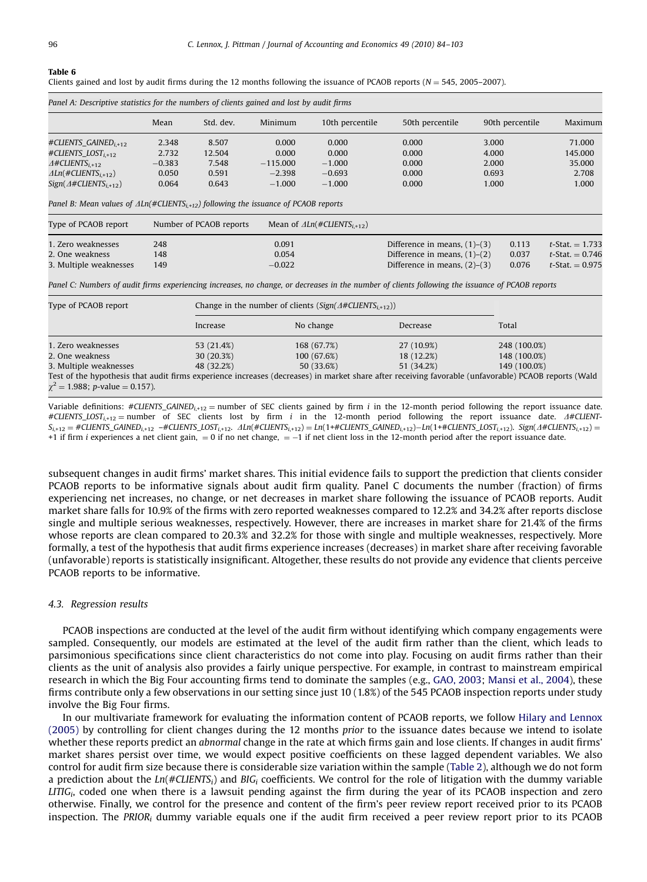<span id="page-12-0"></span>Clients gained and lost by audit firms during the 12 months following the issuance of PCAOB reports ( $N = 545$ , 2005–2007).

| Panel A: Descriptive statistics for the numbers of clients gained and lost by audit firms |          |           |            |                 |                 |                 |         |  |
|-------------------------------------------------------------------------------------------|----------|-----------|------------|-----------------|-----------------|-----------------|---------|--|
|                                                                                           | Mean     | Std. dev. | Minimum    | 10th percentile | 50th percentile | 90th percentile | Maximum |  |
| #CLIENTS GAINED <sub>i+12</sub>                                                           | 2.348    | 8.507     | 0.000      | 0.000           | 0.000           | 3.000           | 71.000  |  |
| #CLIENTS $LOST_{i+12}$                                                                    | 2.732    | 12.504    | 0.000      | 0.000           | 0.000           | 4.000           | 145.000 |  |
| $\triangle$ #CLIENTS <sub>i+12</sub>                                                      | $-0.383$ | 7.548     | $-115.000$ | $-1.000$        | 0.000           | 2.000           | 35,000  |  |
| $\triangle Ln(\text{\#CLIENTS}_{i+12})$                                                   | 0.050    | 0.591     | $-2.398$   | $-0.693$        | 0.000           | 0.693           | 2.708   |  |
| $Sign(\triangle HCLIENTS_{i+12})$                                                         | 0.064    | 0.643     | $-1.000$   | $-1.000$        | 0.000           | 1.000           | 1.000   |  |

Panel B: Mean values of  $\Delta Ln(\# CLIENTS_{i+12})$  following the issuance of PCAOB reports

| Type of PCAOB report   | Number of PCAOB reports | Mean of $\Delta Ln(\#CLIENTS_{i+12})$ |                                    |       |                      |
|------------------------|-------------------------|---------------------------------------|------------------------------------|-------|----------------------|
| 1. Zero weaknesses     | 248                     | 0.091                                 | Difference in means, $(1)$ – $(3)$ | 0.113 | $t$ -Stat. $= 1.733$ |
| 2. One weakness        | 148                     | 0.054                                 | Difference in means, $(1)-(2)$     | 0.037 | $t$ -Stat. = 0.746   |
| 3. Multiple weaknesses | 149                     | $-0.022$                              | Difference in means, $(2)$ – $(3)$ | 0.076 | $t$ -Stat. = 0.975   |

Panel C: Numbers of audit firms experiencing increases, no change, or decreases in the number of clients following the issuance of PCAOB reports

| Type of PCAOB report                                                                                                                                 | Change in the number of clients (Sign( $\Delta\#CLIENTS_{i+12}$ )) |             |            |              |
|------------------------------------------------------------------------------------------------------------------------------------------------------|--------------------------------------------------------------------|-------------|------------|--------------|
|                                                                                                                                                      | Increase                                                           | No change   | Decrease   | Total        |
| 1. Zero weaknesses                                                                                                                                   | 53 (21.4%)                                                         | 168 (67.7%) | 27 (10.9%) | 248 (100.0%) |
| 2. One weakness                                                                                                                                      | 30(20.3%)                                                          | 100 (67.6%) | 18 (12.2%) | 148 (100.0%) |
| 3. Multiple weaknesses                                                                                                                               | 48 (32.2%)                                                         | 50 (33.6%)  | 51 (34.2%) | 149 (100.0%) |
| Test of the hypothesis that audit firms experience increases (decreases) in market share after receiving favorable (unfavorable) PCAOB reports (Wald |                                                                    |             |            |              |

 $\gamma^2 = 1.988$ ; p-value = 0.157).

Variable definitions: #CLIENTS\_GAINED<sub>i</sub>,+12 = number of SEC clients gained by firm *i* in the 12-month period following the report issuance date. #CLIENTS\_LOST<sub>i+12</sub> = number of SEC clients lost by firm i in the 12-month period following the report issuance date.  $\Delta$ #CLIENT- $S_{i,i+12} = \text{\#CLIENTS\_GANED}_{i,i+12}$  -#CLIENTS\_LOST<sub>i,+12</sub>.  $\Delta \text{Ln}(\text{\#CLIENTS}_{i,i+12}) = \text{Ln}(1+\text{\#CLIENTS}_{i+12}) - \text{Ln}(1+\text{\#CLIENTS}_{i-12}) - \text{Ln}(1+\text{\#CLIENTS}_{i-12})$ . Sign( $\Delta \text{\#CLIENTS}_{i,i+12}) = \text{Ln}(1+\text{\#CLIENTS}_{i-12}) - \text{Ln}(1+\text{\#CLIENTS}_{i-12})$ +1 if firm *i* experiences a net client gain, = 0 if no net change, =  $-1$  if net client loss in the 12-month period after the report issuance date.

subsequent changes in audit firms' market shares. This initial evidence fails to support the prediction that clients consider PCAOB reports to be informative signals about audit firm quality. Panel C documents the number (fraction) of firms experiencing net increases, no change, or net decreases in market share following the issuance of PCAOB reports. Audit market share falls for 10.9% of the firms with zero reported weaknesses compared to 12.2% and 34.2% after reports disclose single and multiple serious weaknesses, respectively. However, there are increases in market share for 21.4% of the firms whose reports are clean compared to 20.3% and 32.2% for those with single and multiple weaknesses, respectively. More formally, a test of the hypothesis that audit firms experience increases (decreases) in market share after receiving favorable (unfavorable) reports is statistically insignificant. Altogether, these results do not provide any evidence that clients perceive PCAOB reports to be informative.

#### 4.3. Regression results

PCAOB inspections are conducted at the level of the audit firm without identifying which company engagements were sampled. Consequently, our models are estimated at the level of the audit firm rather than the client, which leads to parsimonious specifications since client characteristics do not come into play. Focusing on audit firms rather than their clients as the unit of analysis also provides a fairly unique perspective. For example, in contrast to mainstream empirical research in which the Big Four accounting firms tend to dominate the samples (e.g., [GAO, 2003](#page-19-0); [Mansi et al., 2004](#page-19-0)), these firms contribute only a few observations in our setting since just 10 (1.8%) of the 545 PCAOB inspection reports under study involve the Big Four firms.

In our multivariate framework for evaluating the information content of PCAOB reports, we follow [Hilary and Lennox](#page-19-0) [\(2005\)](#page-19-0) by controlling for client changes during the 12 months prior to the issuance dates because we intend to isolate whether these reports predict an *abnormal* change in the rate at which firms gain and lose clients. If changes in audit firms' market shares persist over time, we would expect positive coefficients on these lagged dependent variables. We also control for audit firm size because there is considerable size variation within the sample [\(Table 2](#page-5-0)), although we do not form a prediction about the Ln(#CLIENTS<sub>i</sub>) and BIG<sub>i</sub> coefficients. We control for the role of litigation with the dummy variable LITIG<sub>i</sub>, coded one when there is a lawsuit pending against the firm during the year of its PCAOB inspection and zero otherwise. Finally, we control for the presence and content of the firm's peer review report received prior to its PCAOB inspection. The PRIOR<sub>i</sub> dummy variable equals one if the audit firm received a peer review report prior to its PCAOB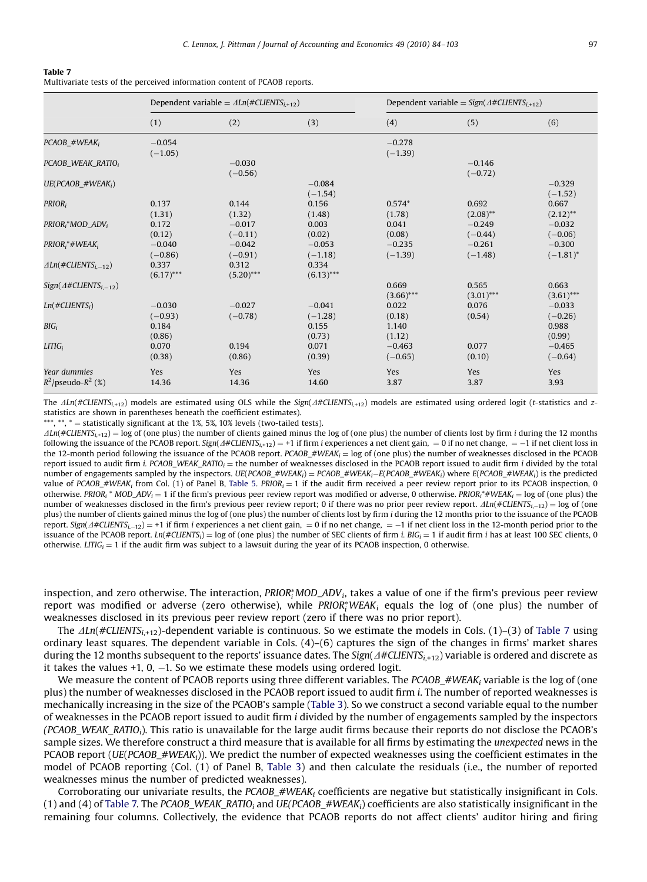<span id="page-13-0"></span>Multivariate tests of the perceived information content of PCAOB reports.

|                                          | Dependent variable = $\Delta Ln(\#CLIENTS_{i+12})$ |                       |                       |                       | Dependent variable = $Sign(\triangle\# CLIENTS_{i+12})$ |                         |
|------------------------------------------|----------------------------------------------------|-----------------------|-----------------------|-----------------------|---------------------------------------------------------|-------------------------|
|                                          | (1)                                                | (2)                   | (3)                   | (4)                   | (5)                                                     | (6)                     |
| $PCAOB$ #WEAK;                           | $-0.054$<br>$(-1.05)$                              |                       |                       | $-0.278$<br>$(-1.39)$ |                                                         |                         |
| PCAOB WEAK RATIO;                        |                                                    | $-0.030$<br>$(-0.56)$ |                       |                       | $-0.146$<br>$(-0.72)$                                   |                         |
| $UE(PCAOB + WEAK_i)$                     |                                                    |                       | $-0.084$<br>$(-1.54)$ |                       |                                                         | $-0.329$<br>$(-1.52)$   |
| $PRIOR_i$                                | 0.137<br>(1.31)                                    | 0.144<br>(1.32)       | 0.156<br>(1.48)       | $0.574*$<br>(1.78)    | 0.692<br>$(2.08)$ **                                    | 0.667<br>$(2.12)$ **    |
| PRIOR <sub>i</sub> *MOD ADV <sub>i</sub> | 0.172<br>(0.12)                                    | $-0.017$<br>$(-0.11)$ | 0.003<br>(0.02)       | 0.041<br>(0.08)       | $-0.249$<br>$(-0.44)$                                   | $-0.032$<br>$(-0.06)$   |
| PRIOR;*#WEAK;                            | $-0.040$<br>$(-0.86)$                              | $-0.042$<br>$(-0.91)$ | $-0.053$<br>$(-1.18)$ | $-0.235$<br>$(-1.39)$ | $-0.261$<br>$(-1.48)$                                   | $-0.300$<br>$(-1.81)^*$ |
| $\Delta Ln(\#CLIENTS_{i-12})$            | 0.337<br>$(6.17)$ ***                              | 0.312<br>$(5.20)$ *** | 0.334<br>$(6.13)$ *** |                       |                                                         |                         |
| $Sign(\triangle HCLIENTS_{i-12})$        |                                                    |                       |                       | 0.669<br>$(3.66)$ *** | 0.565<br>$(3.01)$ ***                                   | 0.663<br>$(3.61)$ ***   |
| $Ln(\#CLIENTS_i)$                        | $-0.030$<br>$(-0.93)$                              | $-0.027$<br>$(-0.78)$ | $-0.041$<br>$(-1.28)$ | 0.022<br>(0.18)       | 0.076<br>(0.54)                                         | $-0.033$<br>$(-0.26)$   |
| $BIG_i$                                  | 0.184<br>(0.86)                                    |                       | 0.155<br>(0.73)       | 1.140<br>(1.12)       |                                                         | 0.988<br>(0.99)         |
| $LITIG_i$                                | 0.070<br>(0.38)                                    | 0.194<br>(0.86)       | 0.071<br>(0.39)       | $-0.463$<br>$(-0.65)$ | 0.077<br>(0.10)                                         | $-0.465$<br>$(-0.64)$   |
| Year dummies<br>$R^2$ /pseudo- $R^2$ (%) | <b>Yes</b><br>14.36                                | Yes<br>14.36          | Yes<br>14.60          | <b>Yes</b><br>3.87    | <b>Yes</b><br>3.87                                      | <b>Yes</b><br>3.93      |

The  $\Delta Ln(\#CLIENTS_{i+12})$  models are estimated using OLS while the Sign( $\Delta \# CLIENTS_{i+12}$ ) models are estimated using ordered logit (t-statistics and zstatistics are shown in parentheses beneath the coefficient estimates).

 $***, **$ ,  $*$  = statistically significant at the 1%, 5%, 10% levels (two-tailed tests).

 $\Delta \text{Ln}(\#\text{CLIENTS}_{i+12}) = \log$  of (one plus) the number of clients gained minus the log of (one plus) the number of clients lost by firm i during the 12 months following the issuance of the PCAOB report. Sign( $\Delta\#CLIENTS_{i+12}$ ) = +1 if firm *i* experiences a net client gain, = 0 if no net change, = -1 if net client loss in the 12-month period following the issuance of the PCAOB report. PCAOB\_#WEAK<sub>i</sub> = log of (one plus) the number of weaknesses disclosed in the PCAOB report issued to audit firm i. PCAOB\_WEAK\_RATIO<sub>i</sub> = the number of weaknesses disclosed in the PCAOB report issued to audit firm i divided by the total number of engagements sampled by the inspectors.  $UE(PCAOB_ #WEAK_i) = PCAOB_ #WEAK_i - E(PCAOB_ #WEAK_i)$  where  $E(PCAOB_ #WEAK_i)$  is the predicted value of PCAOB\_#WEAK<sub>i</sub> from Col. (1) of Panel B, [Table 5](#page-10-0). PRIOR<sub>i</sub> = 1 if the audit firm received a peer review report prior to its PCAOB inspection, 0 otherwise. PRIOR<sub>i</sub> \* MOD ADV<sub>i</sub> = 1 if the firm's previous peer review report was modified or adverse, 0 otherwise. PRIOR<sub>i</sub> \*#WEAK<sub>i</sub> = log of (one plus) the number of weaknesses disclosed in the firm's previous peer review report; 0 if there was no prior peer review report.  $\Delta ln(\#CLIENTS_{i-12}) = log$  of (one plus) the number of clients gained minus the log of (one plus) the number of clients lost by firm i during the 12 months prior to the issuance of the PCAOB report. Sign( $\Delta\#CLIENTS_{i,-12}$ ) = +1 if firm i experiences a net client gain, = 0 if no net change, = -1 if net client loss in the 12-month period prior to the issuance of the PCAOB report. Ln(#CLIENTS<sub>i</sub>) = log of (one plus) the number of SEC clients of firm i. BIG<sub>i</sub> = 1 if audit firm i has at least 100 SEC clients, 0 otherwise. LITIG<sub>i</sub> = 1 if the audit firm was subject to a lawsuit during the year of its PCAOB inspection, 0 otherwise.

inspection, and zero otherwise. The interaction,  $\mathit{PRIOR}_i^*MOD\_ADV_i$ , takes a value of one if the firm's previous peer review report was modified or adverse (zero otherwise), while  $PRIOR_i^*WEAR_i$  equals the log of (one plus) the number of weaknesses disclosed in its previous peer review report (zero if there was no prior report).

The  $\Delta Ln(\#CLIENTS_{i+12})$ -dependent variable is continuous. So we estimate the models in Cols. (1)–(3) of Table 7 using ordinary least squares. The dependent variable in Cols. (4)–(6) captures the sign of the changes in firms' market shares during the 12 months subsequent to the reports' issuance dates. The Sign( $\Delta\#CLIENTS_{i+12}$ ) variable is ordered and discrete as it takes the values  $+1$ , 0,  $-1$ . So we estimate these models using ordered logit.

We measure the content of PCAOB reports using three different variables. The PCAOB\_#WEAK<sub>i</sub> variable is the log of (one plus) the number of weaknesses disclosed in the PCAOB report issued to audit firm i. The number of reported weaknesses is mechanically increasing in the size of the PCAOB's sample ([Table 3\)](#page-7-0). So we construct a second variable equal to the number of weaknesses in the PCAOB report issued to audit firm i divided by the number of engagements sampled by the inspectors (PCAOB\_WEAK\_RATIOi). This ratio is unavailable for the large audit firms because their reports do not disclose the PCAOB's sample sizes. We therefore construct a third measure that is available for all firms by estimating the *unexpected* news in the PCAOB report (UE(PCAOB\_#WEAK<sub>i</sub>)). We predict the number of expected weaknesses using the coefficient estimates in the model of PCAOB reporting (Col. (1) of Panel B, [Table 3\)](#page-7-0) and then calculate the residuals (i.e., the number of reported weaknesses minus the number of predicted weaknesses).

Corroborating our univariate results, the  $PCAOB$ \_#WEAK<sub>i</sub> coefficients are negative but statistically insignificant in Cols. (1) and (4) of Table 7. The PCAOB\_WEAK\_RATIO<sub>i</sub> and UE(PCAOB\_#WEAK<sub>i</sub>) coefficients are also statistically insignificant in the remaining four columns. Collectively, the evidence that PCAOB reports do not affect clients' auditor hiring and firing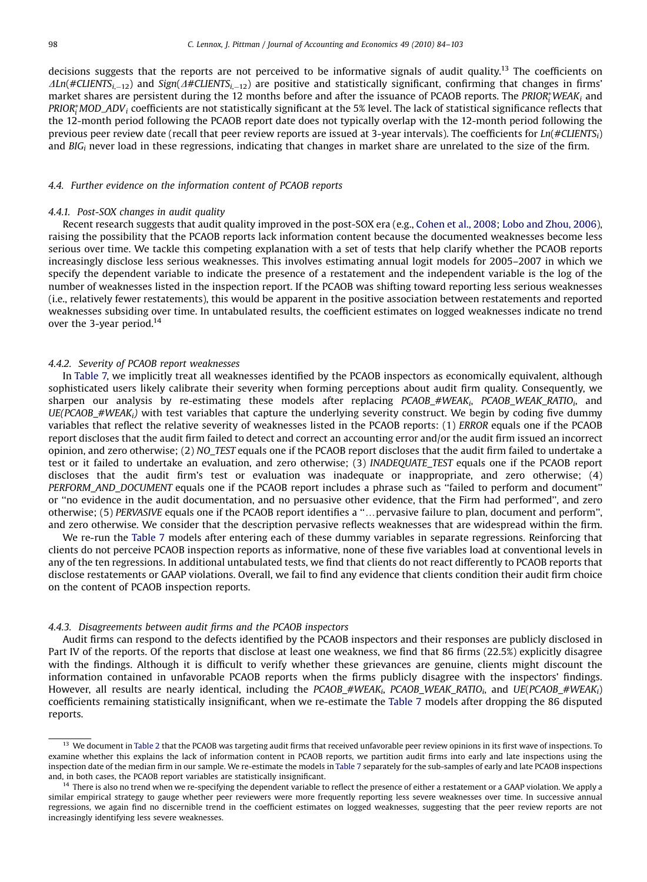decisions suggests that the reports are not perceived to be informative signals of audit quality.<sup>13</sup> The coefficients on  $\Delta Ln(\#CLIENTS_{i-12})$  and Sign( $\Delta \# CLIENTS_{i-12}$ ) are positive and statistically significant, confirming that changes in firms' market shares are persistent during the 12 months before and after the issuance of PCAOB reports. The PRIOR $_i^*$ WEAK<sub>i</sub> and  $\mathit{PRIOR}^*_i\mathit{MOD}\_\mathit{ADV}_i$  coefficients are not statistically significant at the 5% level. The lack of statistical significance reflects that the 12-month period following the PCAOB report date does not typically overlap with the 12-month period following the previous peer review date (recall that peer review reports are issued at 3-year intervals). The coefficients for  $Ln(\#CLIENTS_i)$ and  $BIG<sub>i</sub>$  never load in these regressions, indicating that changes in market share are unrelated to the size of the firm.

## 4.4. Further evidence on the information content of PCAOB reports

## 4.4.1. Post-SOX changes in audit quality

Recent research suggests that audit quality improved in the post-SOX era (e.g., [Cohen et al., 2008;](#page-19-0) [Lobo and Zhou, 2006](#page-19-0)), raising the possibility that the PCAOB reports lack information content because the documented weaknesses become less serious over time. We tackle this competing explanation with a set of tests that help clarify whether the PCAOB reports increasingly disclose less serious weaknesses. This involves estimating annual logit models for 2005–2007 in which we specify the dependent variable to indicate the presence of a restatement and the independent variable is the log of the number of weaknesses listed in the inspection report. If the PCAOB was shifting toward reporting less serious weaknesses (i.e., relatively fewer restatements), this would be apparent in the positive association between restatements and reported weaknesses subsiding over time. In untabulated results, the coefficient estimates on logged weaknesses indicate no trend over the 3-year period. $14$ 

## 4.4.2. Severity of PCAOB report weaknesses

In [Table 7,](#page-13-0) we implicitly treat all weaknesses identified by the PCAOB inspectors as economically equivalent, although sophisticated users likely calibrate their severity when forming perceptions about audit firm quality. Consequently, we sharpen our analysis by re-estimating these models after replacing PCAOB\_#WEAK<sub>i</sub>, PCAOB\_WEAK\_RATIO<sub>i</sub>, and  $UE(PCAOB$  #WEAK<sub>i</sub>) with test variables that capture the underlying severity construct. We begin by coding five dummy variables that reflect the relative severity of weaknesses listed in the PCAOB reports: (1) ERROR equals one if the PCAOB report discloses that the audit firm failed to detect and correct an accounting error and/or the audit firm issued an incorrect opinion, and zero otherwise; (2) NO\_TEST equals one if the PCAOB report discloses that the audit firm failed to undertake a test or it failed to undertake an evaluation, and zero otherwise; (3) INADEQUATE\_TEST equals one if the PCAOB report discloses that the audit firm's test or evaluation was inadequate or inappropriate, and zero otherwise; (4) PERFORM AND DOCUMENT equals one if the PCAOB report includes a phrase such as "failed to perform and document" or ''no evidence in the audit documentation, and no persuasive other evidence, that the Firm had performed'', and zero otherwise; (5) PERVASIVE equals one if the PCAOB report identifies a "... pervasive failure to plan, document and perform", and zero otherwise. We consider that the description pervasive reflects weaknesses that are widespread within the firm.

We re-run the [Table 7](#page-13-0) models after entering each of these dummy variables in separate regressions. Reinforcing that clients do not perceive PCAOB inspection reports as informative, none of these five variables load at conventional levels in any of the ten regressions. In additional untabulated tests, we find that clients do not react differently to PCAOB reports that disclose restatements or GAAP violations. Overall, we fail to find any evidence that clients condition their audit firm choice on the content of PCAOB inspection reports.

## 4.4.3. Disagreements between audit firms and the PCAOB inspectors

Audit firms can respond to the defects identified by the PCAOB inspectors and their responses are publicly disclosed in Part IV of the reports. Of the reports that disclose at least one weakness, we find that 86 firms (22.5%) explicitly disagree with the findings. Although it is difficult to verify whether these grievances are genuine, clients might discount the information contained in unfavorable PCAOB reports when the firms publicly disagree with the inspectors' findings. However, all results are nearly identical, including the PCAOB\_#WEAK<sub>i</sub>, PCAOB\_WEAK\_RATIO<sub>i</sub>, and UE(PCAOB\_#WEAK<sub>i</sub>) coefficients remaining statistically insignificant, when we re-estimate the [Table 7](#page-13-0) models after dropping the 86 disputed reports.

<sup>&</sup>lt;sup>13</sup> We document in [Table 2](#page-5-0) that the PCAOB was targeting audit firms that received unfavorable peer review opinions in its first wave of inspections. To examine whether this explains the lack of information content in PCAOB reports, we partition audit firms into early and late inspections using the inspection date of the median firm in our sample. We re-estimate the models in [Table 7](#page-13-0) separately for the sub-samples of early and late PCAOB inspections and, in both cases, the PCAOB report variables are statistically insignificant.

<sup>&</sup>lt;sup>14</sup> There is also no trend when we re-specifying the dependent variable to reflect the presence of either a restatement or a GAAP violation. We apply a similar empirical strategy to gauge whether peer reviewers were more frequently reporting less severe weaknesses over time. In successive annual regressions, we again find no discernible trend in the coefficient estimates on logged weaknesses, suggesting that the peer review reports are not increasingly identifying less severe weaknesses.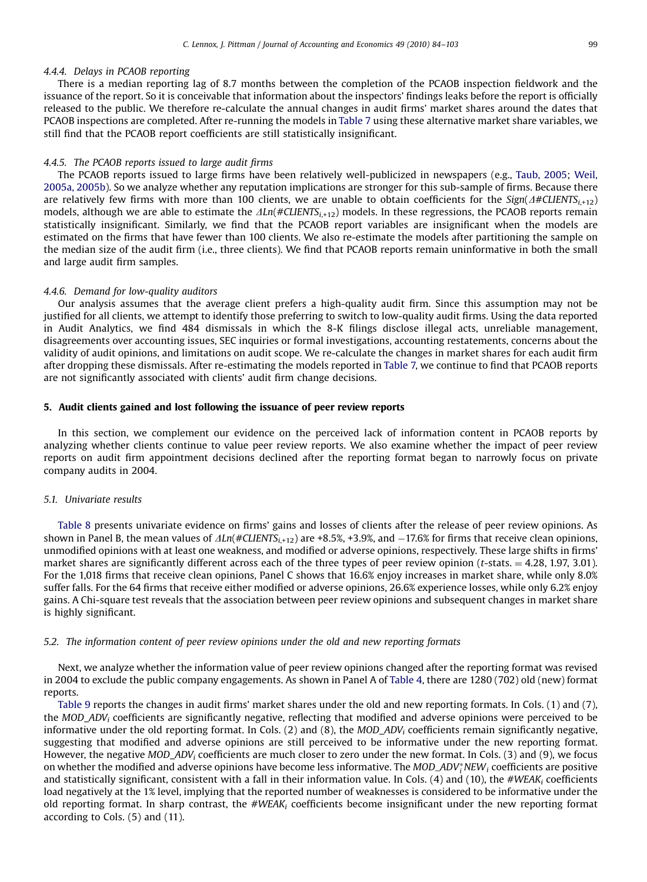## 4.4.4. Delays in PCAOB reporting

There is a median reporting lag of 8.7 months between the completion of the PCAOB inspection fieldwork and the issuance of the report. So it is conceivable that information about the inspectors' findings leaks before the report is officially released to the public. We therefore re-calculate the annual changes in audit firms' market shares around the dates that PCAOB inspections are completed. After re-running the models in [Table 7](#page-13-0) using these alternative market share variables, we still find that the PCAOB report coefficients are still statistically insignificant.

## 4.4.5. The PCAOB reports issued to large audit firms

The PCAOB reports issued to large firms have been relatively well-publicized in newspapers (e.g., [Taub, 2005](#page-19-0); [Weil,](#page-19-0) [2005a, 2005b\)](#page-19-0). So we analyze whether any reputation implications are stronger for this sub-sample of firms. Because there are relatively few firms with more than 100 clients, we are unable to obtain coefficients for the Sign( $\Delta\# \text{CLIENTS}_{i+12}$ ) models, although we are able to estimate the  $\Delta Ln(\#CLIENTS_{i+12})$  models. In these regressions, the PCAOB reports remain statistically insignificant. Similarly, we find that the PCAOB report variables are insignificant when the models are estimated on the firms that have fewer than 100 clients. We also re-estimate the models after partitioning the sample on the median size of the audit firm (i.e., three clients). We find that PCAOB reports remain uninformative in both the small and large audit firm samples.

## 4.4.6. Demand for low-quality auditors

Our analysis assumes that the average client prefers a high-quality audit firm. Since this assumption may not be justified for all clients, we attempt to identify those preferring to switch to low-quality audit firms. Using the data reported in Audit Analytics, we find 484 dismissals in which the 8-K filings disclose illegal acts, unreliable management, disagreements over accounting issues, SEC inquiries or formal investigations, accounting restatements, concerns about the validity of audit opinions, and limitations on audit scope. We re-calculate the changes in market shares for each audit firm after dropping these dismissals. After re-estimating the models reported in [Table 7,](#page-13-0) we continue to find that PCAOB reports are not significantly associated with clients' audit firm change decisions.

## 5. Audit clients gained and lost following the issuance of peer review reports

In this section, we complement our evidence on the perceived lack of information content in PCAOB reports by analyzing whether clients continue to value peer review reports. We also examine whether the impact of peer review reports on audit firm appointment decisions declined after the reporting format began to narrowly focus on private company audits in 2004.

## 5.1. Univariate results

[Table 8](#page-16-0) presents univariate evidence on firms' gains and losses of clients after the release of peer review opinions. As shown in Panel B, the mean values of  $\Delta Ln(\#CLENTS_{i+12})$  are +8.5%, +3.9%, and  $-17.6%$  for firms that receive clean opinions, unmodified opinions with at least one weakness, and modified or adverse opinions, respectively. These large shifts in firms' market shares are significantly different across each of the three types of peer review opinion ( $t$ -stats.  $= 4.28$ , 1.97, 3.01). For the 1,018 firms that receive clean opinions, Panel C shows that 16.6% enjoy increases in market share, while only 8.0% suffer falls. For the 64 firms that receive either modified or adverse opinions, 26.6% experience losses, while only 6.2% enjoy gains. A Chi-square test reveals that the association between peer review opinions and subsequent changes in market share is highly significant.

## 5.2. The information content of peer review opinions under the old and new reporting formats

Next, we analyze whether the information value of peer review opinions changed after the reporting format was revised in 2004 to exclude the public company engagements. As shown in Panel A of [Table 4](#page-9-0), there are 1280 (702) old (new) format reports.

[Table 9](#page-17-0) reports the changes in audit firms' market shares under the old and new reporting formats. In Cols. (1) and (7), the MOD\_ADV<sub>i</sub> coefficients are significantly negative, reflecting that modified and adverse opinions were perceived to be informative under the old reporting format. In Cols. (2) and (8), the  $MODADV_i$  coefficients remain significantly negative, suggesting that modified and adverse opinions are still perceived to be informative under the new reporting format. However, the negative MOD\_ADVi coefficients are much closer to zero under the new format. In Cols. (3) and (9), we focus on whether the modified and adverse opinions have become less informative. The MOD\_ADV $^*_i$ NEW $_i$  coefficients are positive and statistically significant, consistent with a fall in their information value. In Cols. (4) and (10), the #WEAK<sub>i</sub> coefficients load negatively at the 1% level, implying that the reported number of weaknesses is considered to be informative under the old reporting format. In sharp contrast, the  $\#WEAK_i$  coefficients become insignificant under the new reporting format according to Cols. (5) and (11).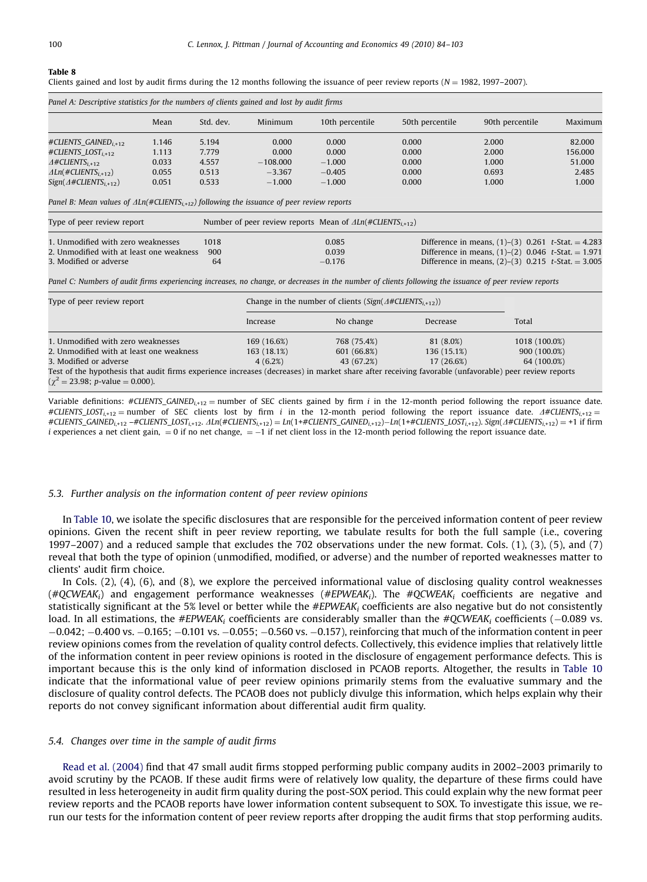<span id="page-16-0"></span>Clients gained and lost by audit firms during the 12 months following the issuance of peer review reports ( $N = 1982$ , 1997–2007).

| Panel A: Descriptive statistics for the numbers of clients gained and lost by audit firms                                                 |                                  |                                  |                                          |                                        |                                  |                                  |                                      |  |  |
|-------------------------------------------------------------------------------------------------------------------------------------------|----------------------------------|----------------------------------|------------------------------------------|----------------------------------------|----------------------------------|----------------------------------|--------------------------------------|--|--|
|                                                                                                                                           | Mean                             | Std. dev.                        | Minimum                                  | 10th percentile                        | 50th percentile                  | 90th percentile                  | Maximum                              |  |  |
| #CLIENTS GAINED <sub>i+12</sub><br>#CLIENTS LOST <sub>i+12</sub><br>$\triangle$ #CLIENTS <sub>i+12</sub><br>$\Delta Ln(\#CLIENTS_{i+12})$ | 1.146<br>1.113<br>0.033<br>0.055 | 5.194<br>7.779<br>4.557<br>0.513 | 0.000<br>0.000<br>$-108,000$<br>$-3.367$ | 0.000<br>0.000<br>$-1.000$<br>$-0.405$ | 0.000<br>0.000<br>0.000<br>0.000 | 2.000<br>2.000<br>1.000<br>0.693 | 82.000<br>156.000<br>51.000<br>2.485 |  |  |
| $Sign(\triangle HCLIENTS_{i+12})$                                                                                                         | 0.051                            | 0.533                            | $-1.000$                                 | $-1.000$                               | 0.000                            | 1.000                            | 1.000                                |  |  |

Panel B: Mean values of  $\Delta \text{Ln}(\# \text{CLIENTS}_{i+12})$  following the issuance of peer review reports

| Type of peer review report                                                                               | Number of peer review reports Mean of $\Delta Ln(\# CLIENTS_{i+12})$ |                            |                                                                                                                                                                              |  |
|----------------------------------------------------------------------------------------------------------|----------------------------------------------------------------------|----------------------------|------------------------------------------------------------------------------------------------------------------------------------------------------------------------------|--|
| 1. Unmodified with zero weaknesses<br>2. Unmodified with at least one weakness<br>3. Modified or adverse | 1018<br>900<br>64                                                    | 0.085<br>0.039<br>$-0.176$ | Difference in means, $(1)$ – $(3)$ 0.261 t-Stat. = 4.283<br>Difference in means, $(1)-(2)$ 0.046 t-Stat, = 1.971<br>Difference in means, $(2)$ – $(3)$ 0.215 t-Stat, = 3.005 |  |

Panel C: Numbers of audit firms experiencing increases, no change, or decreases in the number of clients following the issuance of peer review reports

| Type of peer review report                                                                                                                                                                     | Change in the number of clients (Sign( $\Delta\# CLIENTS_{i+12}$ )) |             |             |               |  |  |  |  |
|------------------------------------------------------------------------------------------------------------------------------------------------------------------------------------------------|---------------------------------------------------------------------|-------------|-------------|---------------|--|--|--|--|
|                                                                                                                                                                                                | Increase                                                            | No change   | Decrease    | Total         |  |  |  |  |
| 1. Unmodified with zero weaknesses                                                                                                                                                             | 169 (16.6%)                                                         | 768 (75.4%) | 81 (8.0%)   | 1018 (100.0%) |  |  |  |  |
| 2. Unmodified with at least one weakness                                                                                                                                                       | 163 (18.1%)                                                         | 601 (66.8%) | 136 (15.1%) | 900 (100.0%)  |  |  |  |  |
| 3. Modified or adverse                                                                                                                                                                         | 4(6.2%)                                                             | 43 (67.2%)  | 17 (26.6%)  | 64 (100.0%)   |  |  |  |  |
| Test of the hypothesis that audit firms experience increases (decreases) in market share after receiving favorable (unfavorable) peer review reports<br>$(\gamma^2 = 23.98; p-value = 0.000).$ |                                                                     |             |             |               |  |  |  |  |

Variable definitions: #CLIENTS\_GAINED<sub>i</sub>,+12 = number of SEC clients gained by firm *i* in the 12-month period following the report issuance date. #CLIENTS\_LOST<sub>i+12</sub> = number of SEC clients lost by firm i in the 12-month period following the report issuance date.  $\Delta\#CLIENTS_{i+12}$  =  $\# \text{CLIENTS\_GANIED}_{i,\text{+12}} - \# \text{CLIENTS}\_\text{LOST}_{i,\text{+12}}$ .  $\Delta \text{Ln}(\# \text{CLIENTS}_{i,\text{+12}}) = \text{Ln}(1+\# \text{CLIENTS}\_\text{LANDID}_{i,\text{+12}}) - \text{Ln}(1+\# \text{CLIENTS}\_\text{LOST}_{i,\text{+12}})$ . Sign( $\Delta \# \text{CLIENTS}_{i,\text{+12}}) = +1$  if firm  $i$  experiences a net client gain, = 0 if no net change, =  $-1$  if net client loss in the 12-month period following the report issuance date.

## 5.3. Further analysis on the information content of peer review opinions

In [Table 10,](#page-18-0) we isolate the specific disclosures that are responsible for the perceived information content of peer review opinions. Given the recent shift in peer review reporting, we tabulate results for both the full sample (i.e., covering 1997–2007) and a reduced sample that excludes the 702 observations under the new format. Cols. (1), (3), (5), and (7) reveal that both the type of opinion (unmodified, modified, or adverse) and the number of reported weaknesses matter to clients' audit firm choice.

In Cols. (2), (4), (6), and (8), we explore the perceived informational value of disclosing quality control weaknesses (#QCWEAK<sub>i</sub>) and engagement performance weaknesses (#EPWEAK<sub>i</sub>). The #QCWEAK<sub>i</sub> coefficients are negative and statistically significant at the 5% level or better while the  $\#EPWEAK_i$  coefficients are also negative but do not consistently load. In all estimations, the #EPWEAK<sub>i</sub> coefficients are considerably smaller than the #QCWEAK<sub>i</sub> coefficients (-0.089 vs.  $-0.042$ ;  $-0.400$  vs.  $-0.165$ ;  $-0.101$  vs.  $-0.055$ ;  $-0.560$  vs.  $-0.157$ ), reinforcing that much of the information content in peer review opinions comes from the revelation of quality control defects. Collectively, this evidence implies that relatively little of the information content in peer review opinions is rooted in the disclosure of engagement performance defects. This is important because this is the only kind of information disclosed in PCAOB reports. Altogether, the results in [Table 10](#page-18-0) indicate that the informational value of peer review opinions primarily stems from the evaluative summary and the disclosure of quality control defects. The PCAOB does not publicly divulge this information, which helps explain why their reports do not convey significant information about differential audit firm quality.

## 5.4. Changes over time in the sample of audit firms

[Read et al. \(2004\)](#page-19-0) find that 47 small audit firms stopped performing public company audits in 2002–2003 primarily to avoid scrutiny by the PCAOB. If these audit firms were of relatively low quality, the departure of these firms could have resulted in less heterogeneity in audit firm quality during the post-SOX period. This could explain why the new format peer review reports and the PCAOB reports have lower information content subsequent to SOX. To investigate this issue, we rerun our tests for the information content of peer review reports after dropping the audit firms that stop performing audits.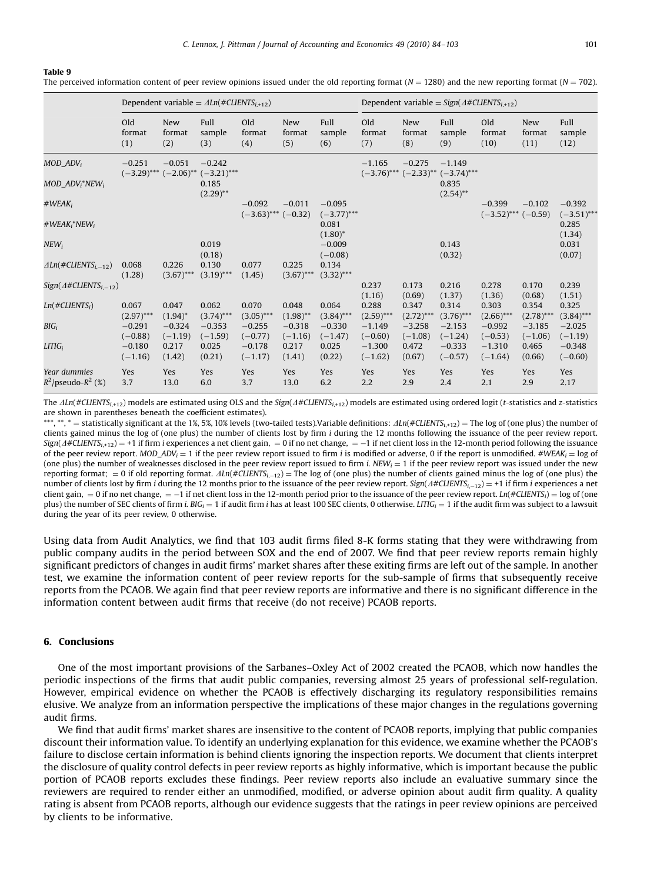<span id="page-17-0"></span>The perceived information content of peer review opinions issued under the old reporting format ( $N = 1280$ ) and the new reporting format ( $N = 702$ ).

|                                          | Dependent variable = $\Delta Ln(\#CLIENTS_{i+12})$ |                             |                                                      |                                   |                       |                           |                       | Dependent variable = $Sign(\triangle\# CLIENTS_{i+12})$ |                                                      |                                   |                              |                           |
|------------------------------------------|----------------------------------------------------|-----------------------------|------------------------------------------------------|-----------------------------------|-----------------------|---------------------------|-----------------------|---------------------------------------------------------|------------------------------------------------------|-----------------------------------|------------------------------|---------------------------|
|                                          | Old<br>format<br>(1)                               | <b>New</b><br>format<br>(2) | Full<br>sample<br>(3)                                | Old<br>format<br>(4)              | New<br>format<br>(5)  | Full<br>sample<br>(6)     | Old<br>format<br>(7)  | <b>New</b><br>format<br>(8)                             | Full<br>sample<br>(9)                                | Old<br>format<br>(10)             | <b>New</b><br>format<br>(11) | Full<br>sample<br>(12)    |
| $MOD$ $ADV_i$                            | $-0.251$                                           | $-0.051$                    | $-0.242$<br>$(-3.29)$ *** $(-2.06)$ ** $(-3.21)$ *** |                                   |                       |                           | $-1.165$              | $-0.275$                                                | $-1.149$<br>$(-3.76)$ *** $(-2.33)$ ** $(-3.74)$ *** |                                   |                              |                           |
| $MOD$ $ADV_i^*NEW_i$                     |                                                    |                             | 0.185<br>$(2.29)$ **                                 |                                   |                       |                           |                       |                                                         | 0.835<br>$(2.54)$ **                                 |                                   |                              |                           |
| $#WEAK_i$                                |                                                    |                             |                                                      | $-0.092$<br>$(-3.63)$ *** (-0.32) | $-0.011$              | $-0.095$<br>$(-3.77)$ *** |                       |                                                         |                                                      | $-0.399$<br>$(-3.52)$ *** (-0.59) | $-0.102$                     | $-0.392$<br>$(-3.51)$ *** |
| #WEAK;*NEW;                              |                                                    |                             |                                                      |                                   |                       | 0.081<br>$(1.80)^*$       |                       |                                                         |                                                      |                                   |                              | 0.285<br>(1.34)           |
| $NEW_i$                                  |                                                    |                             | 0.019<br>(0.18)                                      |                                   |                       | $-0.009$<br>$(-0.08)$     |                       |                                                         | 0.143<br>(0.32)                                      |                                   |                              | 0.031<br>(0.07)           |
| $\Delta Ln(\#CLIENTS_{i.-12})$           | 0.068<br>(1.28)                                    | 0.226<br>$(3.67)$ ***       | 0.130<br>$(3.19)$ ***                                | 0.077<br>(1.45)                   | 0.225<br>$(3.67)$ *** | 0.134<br>$(3.32)$ ***     |                       |                                                         |                                                      |                                   |                              |                           |
| $Sign(\triangle HCLIENTS_{i-12})$        |                                                    |                             |                                                      |                                   |                       |                           | 0.237<br>(1.16)       | 0.173<br>(0.69)                                         | 0.216<br>(1.37)                                      | 0.278<br>(1.36)                   | 0.170<br>(0.68)              | 0.239<br>(1.51)           |
| $Ln(\#CLIENTS_i)$                        | 0.067<br>$(2.97)$ ***                              | 0.047<br>$(1.94)^{*}$       | 0.062<br>$(3.74)$ ***                                | 0.070<br>$(3.05)$ ***             | 0.048<br>$(1.98)$ **  | 0.064<br>$(3.84)$ ***     | 0.288<br>$(2.59)$ *** | 0.347<br>$(2.72)$ ***                                   | 0.314<br>$(3.76)$ ***                                | 0.303<br>$(2.66)$ ***             | 0.354<br>$(2.78)$ ***        | 0.325<br>$(3.84)$ ***     |
| $BIG_i$                                  | $-0.291$<br>$(-0.88)$                              | $-0.324$<br>$(-1.19)$       | $-0.353$<br>$(-1.59)$                                | $-0.255$<br>$(-0.77)$             | $-0.318$<br>$(-1.16)$ | $-0.330$<br>$(-1.47)$     | $-1.149$<br>$(-0.60)$ | $-3.258$<br>$(-1.08)$                                   | $-2.153$<br>$(-1.24)$                                | $-0.992$<br>$(-0.53)$             | $-3.185$<br>$(-1.06)$        | $-2.025$<br>$(-1.19)$     |
| $LITIG_i$                                | $-0.180$<br>$(-1.16)$                              | 0.217<br>(1.42)             | 0.025<br>(0.21)                                      | $-0.178$<br>$(-1.17)$             | 0.217<br>(1.41)       | 0.025<br>(0.22)           | $-1.300$<br>$(-1.62)$ | 0.472<br>(0.67)                                         | $-0.333$<br>$(-0.57)$                                | $-1.310$<br>$(-1.64)$             | 0.465<br>(0.66)              | $-0.348$<br>$(-0.60)$     |
| Year dummies<br>$R^2$ /pseudo- $R^2$ (%) | Yes<br>3.7                                         | <b>Yes</b><br>13.0          | Yes<br>6.0                                           | Yes<br>3.7                        | <b>Yes</b><br>13.0    | Yes<br>6.2                | Yes<br>2.2            | Yes<br>2.9                                              | Yes<br>2.4                                           | Yes<br>2.1                        | Yes<br>2.9                   | <b>Yes</b><br>2.17        |

The  $\Delta Ln(\#CLIENTS_{i+12})$  models are estimated using OLS and the Sign( $\Delta\#CLIENTS_{i+12}$ ) models are estimated using ordered logit (t-statistics and z-statistics are shown in parentheses beneath the coefficient estimates).

\*\*\*, \*\*, \* = statistically significant at the 1%, 5%, 10% levels (two-tailed tests).Variable definitions:  $\Delta ln(\# CLIENTS_{i+12})$  = The log of (one plus) the number of clients gained minus the log of (one plus) the number of clients lost by firm i during the 12 months following the issuance of the peer review report.  $Sign(\triangle A + CLIENTS_{i+12}) = +1$  if firm i experiences a net client gain, = 0 if no net change, = -1 if net client loss in the 12-month period following the issuance of the peer review report. MOD\_ADV<sub>i</sub> = 1 if the peer review report issued to firm i is modified or adverse, 0 if the report is unmodified. #WEAK<sub>i</sub> = log of (one plus) the number of weaknesses disclosed in the peer review report issued to firm i.  $NEW_i = 1$  if the peer review report was issued under the new reporting format; = 0 if old reporting format.  $\Delta Ln(\#CLIENTS_{i-12})$  = The log of (one plus) the number of clients gained minus the log of (one plus) the number of clients lost by firm i during the 12 months prior to the issuance of the peer review report. Sign( $\Delta\#CLIENTS_{i-12}$ ) = +1 if firm i experiences a net client gain,  $= 0$  if no net change,  $= -1$  if net client loss in the 12-month period prior to the issuance of the peer review report. Ln(#CLIENTS<sub>i</sub>) = log of (one plus) the number of SEC clients of firm i. BIG<sub>i</sub> = 1 if audit firm i has at least 100 SEC clients, 0 otherwise. LITIG<sub>i</sub> = 1 if the audit firm was subject to a lawsuit during the year of its peer review, 0 otherwise.

Using data from Audit Analytics, we find that 103 audit firms filed 8-K forms stating that they were withdrawing from public company audits in the period between SOX and the end of 2007. We find that peer review reports remain highly significant predictors of changes in audit firms' market shares after these exiting firms are left out of the sample. In another test, we examine the information content of peer review reports for the sub-sample of firms that subsequently receive reports from the PCAOB. We again find that peer review reports are informative and there is no significant difference in the information content between audit firms that receive (do not receive) PCAOB reports.

## 6. Conclusions

One of the most important provisions of the Sarbanes–Oxley Act of 2002 created the PCAOB, which now handles the periodic inspections of the firms that audit public companies, reversing almost 25 years of professional self-regulation. However, empirical evidence on whether the PCAOB is effectively discharging its regulatory responsibilities remains elusive. We analyze from an information perspective the implications of these major changes in the regulations governing audit firms.

We find that audit firms' market shares are insensitive to the content of PCAOB reports, implying that public companies discount their information value. To identify an underlying explanation for this evidence, we examine whether the PCAOB's failure to disclose certain information is behind clients ignoring the inspection reports. We document that clients interpret the disclosure of quality control defects in peer review reports as highly informative, which is important because the public portion of PCAOB reports excludes these findings. Peer review reports also include an evaluative summary since the reviewers are required to render either an unmodified, modified, or adverse opinion about audit firm quality. A quality rating is absent from PCAOB reports, although our evidence suggests that the ratings in peer review opinions are perceived by clients to be informative.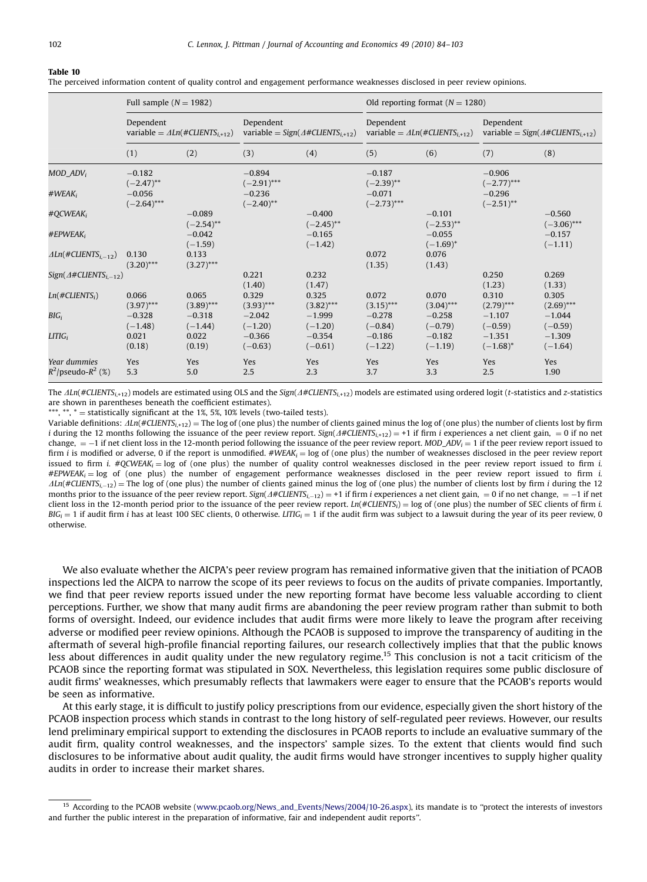<span id="page-18-0"></span>The perceived information content of quality control and engagement performance weaknesses disclosed in peer review opinions.

|                                          | Full sample $(N = 1982)$                              |                          |                                                             |                          | Old reporting format $(N = 1280)$ |                                           |                                                              |                           |  |
|------------------------------------------|-------------------------------------------------------|--------------------------|-------------------------------------------------------------|--------------------------|-----------------------------------|-------------------------------------------|--------------------------------------------------------------|---------------------------|--|
|                                          | Dependent<br>variable = $\Delta Ln(\#CLIENTS_{i+12})$ |                          | Dependent<br>variable = $Sign(\triangle \# CLIENTS_{i+12})$ |                          | Dependent                         | variable = $\Delta Ln(\#CLIENTS_{i.+12})$ | Dependent<br>variable = $Sign(\triangle \# CLIENTS_{i,+12})$ |                           |  |
|                                          | (1)                                                   | (2)                      | (3)                                                         | (4)                      | (5)                               | (6)                                       | (7)                                                          | (8)                       |  |
| $MOD_$ <i>ADV<sub>i</sub></i>            | $-0.182$<br>$(-2.47)$ **                              |                          | $-0.894$<br>$(-2.91)$ ***                                   |                          | $-0.187$<br>$(-2.39)$ **          |                                           | $-0.906$<br>$(-2.77)$ ***                                    |                           |  |
| $#WEAK_i$                                | $-0.056$<br>$(-2.64)$ ***                             |                          | $-0.236$<br>$(-2.40)$ **                                    |                          | $-0.071$<br>$(-2.73)$ ***         |                                           | $-0.296$<br>$(-2.51)$ **                                     |                           |  |
| $\#QCWEAK_i$                             |                                                       | $-0.089$<br>$(-2.54)$ ** |                                                             | $-0.400$<br>$(-2.45)$ ** |                                   | $-0.101$<br>$(-2.53)$ **                  |                                                              | $-0.560$<br>$(-3.06)$ *** |  |
| $\#EPWEAK_i$                             |                                                       | $-0.042$<br>$(-1.59)$    |                                                             | $-0.165$<br>$(-1.42)$    |                                   | $-0.055$<br>$(-1.69)^*$                   |                                                              | $-0.157$<br>$(-1.11)$     |  |
| $\Delta Ln(\#CLIENTS_{i-12})$            | 0.130<br>$(3.20)$ ***                                 | 0.133<br>$(3.27)$ ***    |                                                             |                          | 0.072<br>(1.35)                   | 0.076<br>(1.43)                           |                                                              |                           |  |
| $Sign(\triangle HCLIENTS_{i-12})$        |                                                       |                          | 0.221<br>(1.40)                                             | 0.232<br>(1.47)          |                                   |                                           | 0.250<br>(1.23)                                              | 0.269<br>(1.33)           |  |
| $Ln(\#CLIENTS_i)$                        | 0.066<br>$(3.97)$ ***                                 | 0.065<br>$(3.89)$ ***    | 0.329<br>$(3.93)$ ***                                       | 0.325<br>$(3.82)$ ***    | 0.072<br>$(3.15)$ ***             | 0.070<br>$(3.04)$ ***                     | 0.310<br>$(2.79)$ ***                                        | 0.305<br>$(2.69)$ ***     |  |
| $BIG_i$                                  | $-0.328$<br>$(-1.48)$                                 | $-0.318$<br>$(-1.44)$    | $-2.042$<br>$(-1.20)$                                       | $-1.999$<br>$(-1.20)$    | $-0.278$<br>$(-0.84)$             | $-0.258$<br>$(-0.79)$                     | $-1.107$<br>$(-0.59)$                                        | $-1.044$<br>$(-0.59)$     |  |
| $LITIG_i$                                | 0.021<br>(0.18)                                       | 0.022<br>(0.19)          | $-0.366$<br>$(-0.63)$                                       | $-0.354$<br>$(-0.61)$    | $-0.186$<br>$(-1.22)$             | $-0.182$<br>$(-1.19)$                     | $-1.351$<br>$(-1.68)^*$                                      | $-1.309$<br>$(-1.64)$     |  |
| Year dummies<br>$R^2$ /pseudo- $R^2$ (%) | <b>Yes</b><br>5.3                                     | Yes<br>5.0               | Yes<br>2.5                                                  | Yes<br>2.3               | Yes<br>3.7                        | Yes<br>3.3                                | <b>Yes</b><br>2.5                                            | <b>Yes</b><br>1.90        |  |

The  $\Delta Ln(\#CLIENTS_{i,+12})$  models are estimated using OLS and the Sign( $\Delta \# CLIENTS_{i,+12})$  models are estimated using ordered logit (t-statistics and z-statistics are shown in parentheses beneath the coefficient estimates).

\*\*\*, \*\*, \* = statistically significant at the  $1\%$ ,  $5\%$ ,  $10\%$  levels (two-tailed tests).

Variable definitions:  $\Delta Ln(\#CLENTS_{i+12})$  = The log of (one plus) the number of clients gained minus the log of (one plus) the number of clients lost by firm *i* during the 12 months following the issuance of the peer review report. Sign( $A\#CLIENTS_{i+12}$ ) = +1 if firm *i* experiences a net client gain, = 0 if no net change,  $= -1$  if net client loss in the 12-month period following the issuance of the peer review report. MOD ADV<sub>i</sub> = 1 if the peer review report issued to firm *i* is modified or adverse, 0 if the report is unmodified. #WEAK<sub>i</sub> = log of (one plus) the number of weaknesses disclosed in the peer review report issued to firm i. #QCWEAK<sub>i</sub> = log of (one plus) the number of quality control weaknesses disclosed in the peer review report issued to firm i.  $#EPWEAK_i = log of (one plus)$  the number of engagement performance weaknesses disclosed in the peer review report issued to firm i.  $\Delta \text{Ln}(\#CLENTS_{i-12})$  = The log of (one plus) the number of clients gained minus the log of (one plus) the number of clients lost by firm *i* during the 12 months prior to the issuance of the peer review report. Sign( $\Delta\#CLIENTS_{i-12}$ ) = +1 if firm *i* experiences a net client gain, = 0 if no net change, = -1 if net client loss in the 12-month period prior to the issuance of the peer review report. Ln(#CLIENTS<sub>i</sub>) = log of (one plus) the number of SEC clients of firm *i*.  $BIG_i = 1$  if audit firm *i* has at least 100 SEC clients, 0 otherwise. LITIG<sub>i</sub> = 1 if the audit firm was subject to a lawsuit during the year of its peer review, 0 otherwise.

We also evaluate whether the AICPA's peer review program has remained informative given that the initiation of PCAOB inspections led the AICPA to narrow the scope of its peer reviews to focus on the audits of private companies. Importantly, we find that peer review reports issued under the new reporting format have become less valuable according to client perceptions. Further, we show that many audit firms are abandoning the peer review program rather than submit to both forms of oversight. Indeed, our evidence includes that audit firms were more likely to leave the program after receiving adverse or modified peer review opinions. Although the PCAOB is supposed to improve the transparency of auditing in the aftermath of several high-profile financial reporting failures, our research collectively implies that that the public knows less about differences in audit quality under the new regulatory regime.15 This conclusion is not a tacit criticism of the PCAOB since the reporting format was stipulated in SOX. Nevertheless, this legislation requires some public disclosure of audit firms' weaknesses, which presumably reflects that lawmakers were eager to ensure that the PCAOB's reports would be seen as informative.

At this early stage, it is difficult to justify policy prescriptions from our evidence, especially given the short history of the PCAOB inspection process which stands in contrast to the long history of self-regulated peer reviews. However, our results lend preliminary empirical support to extending the disclosures in PCAOB reports to include an evaluative summary of the audit firm, quality control weaknesses, and the inspectors' sample sizes. To the extent that clients would find such disclosures to be informative about audit quality, the audit firms would have stronger incentives to supply higher quality audits in order to increase their market shares.

<sup>&</sup>lt;sup>15</sup> According to the PCAOB website ([www.pcaob.org/News\\_and\\_Events/News/2004/10-26.aspx\)](http://www.pcaob.org/News_and_Events/News/2004/10-26.aspx), its mandate is to "protect the interests of investors and further the public interest in the preparation of informative, fair and independent audit reports''.